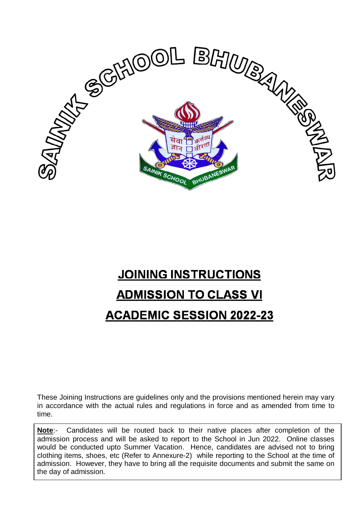

# **JOINING INSTRUCTIONS ADMISSION TO CLASS VI ACADEMIC SESSION 2022-23**

These Joining Instructions are guidelines only and the provisions mentioned herein may vary in accordance with the actual rules and regulations in force and as amended from time to time.

**Note**:- Candidates will be routed back to their native places after completion of the admission process and will be asked to report to the School in Jun 2022. Online classes would be conducted upto Summer Vacation. Hence, candidates are advised not to bring clothing items, shoes, etc (Refer to Annexure-2) while reporting to the School at the time of admission. However, they have to bring all the requisite documents and submit the same on the day of admission.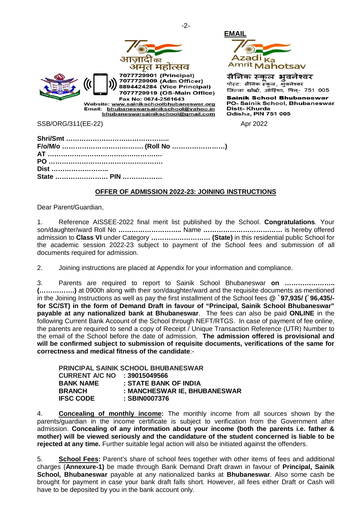



सैनिक स्कूल भूवनेश्वर पोस्ट: सैनिक स्कल, भुवनेश्वर जिल्ला खोर्दा, ओड़िशा, पिल्- 751 005

**Sainik School Bhubaneswar** PO- Sainik School, Bhubaneswar **Distt-Khurda Odisha, PIN 751 005** 

SSB/ORG/311(EE-22) Apr 2022

| Dist ……………………… |  |
|----------------|--|
|                |  |

#### **OFFER OF ADMISSION 2022-23: JOINING INSTRUCTIONS**

Dear Parent/Guardian,

1. Reference AISSEE-2022 final merit list published by the School. **Congratulations***.* Your son/daughter/ward Roll No **………………………..** Name **………………………………** is hereby offered admission to **Class VI** under Category **……………………… (State)** in this residential public School for the academic session 2022-23 subject to payment of the School fees and submission of all documents required for admission.

2. Joining instructions are placed at Appendix for your information and compliance.

3. Parents are required to report to Sainik School Bhubaneswar **on ………………….. (…………….)** at 0900h along with their son/daughter/ward and the requisite documents as mentioned in the Joining Instructions as well as pay the first installment of the School fees **@ `97,935/ (`96,435/ for SC/ST) in the form of Demand Draft in favour of "Principal, Sainik School Bhubaneswar" payable at any nationalized bank at Bhubaneswar**. The fees can also be paid **ONLINE** in the following Current Bank Account of the School through NEFT/RTGS. In case of payment of fee online, the parents are required to send a copy of Receipt / Unique Transaction Reference (UTR) Number to the email of the School before the date of admission. **The admission offered is provisional and will be confirmed subject to submission of requisite documents, verifications of the same for correctness and medical fitness of the candidate**:-

| PRINCIPAL SAINIK SCHOOL BHUBANESWAR |                              |  |
|-------------------------------------|------------------------------|--|
| CURRENT A/C NO : 39015049566        |                              |  |
| <b>BANK NAME</b>                    | : STATE BANK OF INDIA        |  |
| <b>BRANCH</b>                       | : MANCHESWAR IE, BHUBANESWAR |  |
| <b>IFSC CODE</b>                    | : SBIN0007376                |  |

4. **Concealing of monthly income:** The monthly income from all sources shown by the parents/guardian in the income certificate is subject to verification from the Government after admission. **Concealing of any information about your income (both the parents i.e. father & mother) will be viewed seriously and the candidature of the student concerned is liable to be rejected at any time.** Further suitable legal action will also be initiated against the offenders.

5. **School Fees:** Parent's share of school fees together with other items of fees and additional charges (**Annexure-1)** be made through Bank Demand Draft drawn in favour of **Principal, Sainik School, Bhubaneswar** payable at any nationalized banks at **Bhubaneswar**. Also some cash be brought for payment in case your bank draft falls short. However, all fees either Draft or Cash will have to be deposited by you in the bank account only.

-2-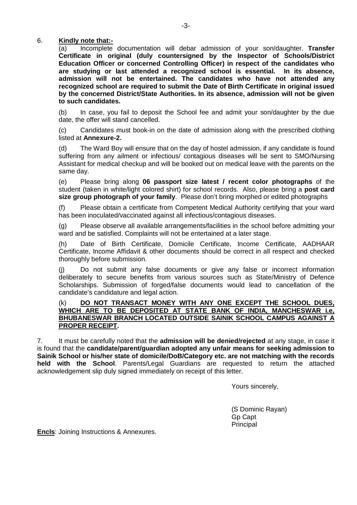#### 6. **Kindly note that:-**

(a) Incomplete documentation will debar admission of your son/daughter. **Transfer Certificate in original (duly countersigned by the Inspector of Schools/District Education Officer or concerned Controlling Officer) in respect of the candidates who are studying or last attended a recognized school is essential. In its absence, admission will not be entertained. The candidates who have not attended any recognized school are required to submit the Date of Birth Certificate in original issued by the concerned District/State Authorities. In its absence, admission will not be given to such candidates.** 

(b) In case, you fail to deposit the School fee and admit your son/daughter by the due date, the offer will stand cancelled.

(c) Candidates must book-in on the date of admission along with the prescribed clothing listed at **Annexure-2.**

(d) The Ward Boy will ensure that on the day of hostel admission, if any candidate is found suffering from any ailment or infectious/ contagious diseases will be sent to SMO/Nursing Assistant for medical checkup and will be booked out on medical leave with the parents on the same day.

(e) Please bring along **06 passport size latest / recent color photographs** of the student (taken in white/light colored shirt) for school records. Also, please bring a **post card size group photograph of your family**. Please don't bring morphed or edited photographs

(f) Please obtain a certificate from Competent Medical Authority certifying that your ward has been inoculated/vaccinated against all infectious/contagious diseases.

(g) Please observe all available arrangements/facilities in the school before admitting your ward and be satisfied. Complaints will not be entertained at a later stage.

(h) Date of Birth Certificate, Domicile Certificate, Income Certificate, AADHAAR Certificate, Income Affidavit & other documents should be correct in all respect and checked thoroughly before submission.

(j) Do not submit any false documents or give any false or incorrect information deliberately to secure benefits from various sources such as State/Ministry of Defence Scholarships. Submission of forged/false documents would lead to cancellation of the candidate's candidature and legal action.

#### (k) **DO NOT TRANSACT MONEY WITH ANY ONE EXCEPT THE SCHOOL DUES, WHICH ARE TO BE DEPOSITED AT STATE BANK OF INDIA, MANCHESWAR i.e, BHUBANESWAR BRANCH LOCATED OUTSIDE SAINIK SCHOOL CAMPUS AGAINST A PROPER RECEIPT.**

7. It must be carefully noted that the **admission will be denied/rejected** at any stage, in case it is found that the **candidate/parent/guardian adopted any unfair means for seeking admission to Sainik School or his/her state of domicile/DoB/Category etc. are not matching with the records held with the School**. Parents/Legal Guardians are requested to return the attached acknowledgement slip duly signed immediately on receipt of this letter.

Yours sincerely,

(S Dominic Rayan) Gp Capt Principal

**Encls**: Joining Instructions & Annexures.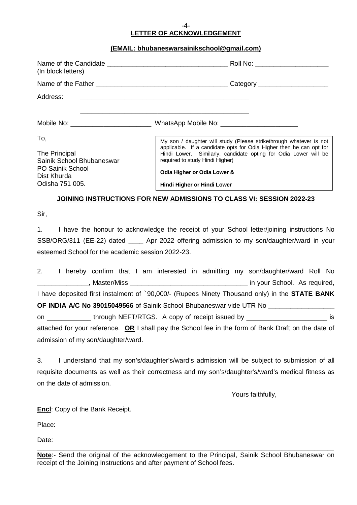#### -4- **LETTER OF ACKNOWLEDGEMENT**

#### **(EMAIL: bhubaneswarsainikschool@gmail.com)**

| (In block letters)                                                                                             | Roll No: ______________________                                                                                                                                                                                                                                                                               |
|----------------------------------------------------------------------------------------------------------------|---------------------------------------------------------------------------------------------------------------------------------------------------------------------------------------------------------------------------------------------------------------------------------------------------------------|
|                                                                                                                | Category _____________________                                                                                                                                                                                                                                                                                |
| Address:                                                                                                       |                                                                                                                                                                                                                                                                                                               |
| Mobile No: __________________________                                                                          | WhatsApp Mobile No: _________________________                                                                                                                                                                                                                                                                 |
| To,<br>The Principal<br>Sainik School Bhubaneswar<br><b>PO Sainik School</b><br>Dist Khurda<br>Odisha 751 005. | My son / daughter will study (Please strikethrough whatever is not<br>applicable. If a candidate opts for Odia Higher then he can opt for<br>Hindi Lower. Similarly, candidate opting for Odia Lower will be<br>required to study Hindi Higher)<br>Odia Higher or Odia Lower &<br>Hindi Higher or Hindi Lower |

#### **JOINING INSTRUCTIONS FOR NEW ADMISSIONS TO CLASS VI: SESSION 2022-23**

Sir,

1. I have the honour to acknowledge the receipt of your School letter/joining instructions No SSB/ORG/311 (EE-22) dated Apr 2022 offering admission to my son/daughter/ward in your esteemed School for the academic session 2022-23.

2. I hereby confirm that I am interested in admitting my son/daughter/ward Roll No \_\_\_\_\_\_\_\_\_\_\_\_\_\_, Master/Miss \_\_\_\_\_\_\_\_\_\_\_\_\_\_\_\_\_\_\_\_\_\_\_\_\_\_\_\_\_\_\_\_ in your School. As required, I have deposited first instalment of `90,000/- (Rupees Ninety Thousand only) in the **STATE BANK OF INDIA A/C No 39015049566** of Sainik School Bhubaneswar vide UTR No on \_\_\_\_\_\_\_\_\_\_ through NEFT/RTGS. A copy of receipt issued by \_\_\_\_\_\_\_\_\_\_\_\_\_\_\_\_\_\_\_\_\_\_\_\_\_\_ is attached for your reference. **OR** I shall pay the School fee in the form of Bank Draft on the date of

admission of my son/daughter/ward.

3. I understand that my son's/daughter's/ward's admission will be subject to submission of all requisite documents as well as their correctness and my son's/daughter's/ward's medical fitness as on the date of admission.

Yours faithfully,

**Encl**: Copy of the Bank Receipt.

Place:

Date:

\_\_\_\_\_\_\_\_\_\_\_\_\_\_\_\_\_\_\_\_\_\_\_\_\_\_\_\_\_\_\_\_\_\_\_\_\_\_\_\_\_\_\_\_\_\_\_\_\_\_\_\_\_\_\_\_\_\_\_\_\_\_\_\_\_\_\_\_\_\_\_\_\_\_\_\_\_\_\_\_\_\_\_\_\_\_\_\_\_\_ **Note**:- Send the original of the acknowledgement to the Principal, Sainik School Bhubaneswar on receipt of the Joining Instructions and after payment of School fees.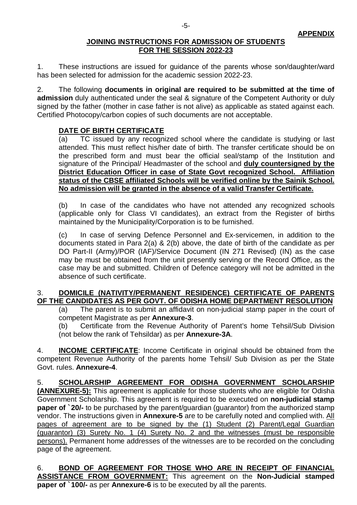#### **JOINING INSTRUCTIONS FOR ADMISSION OF STUDENTS FOR THE SESSION 2022-23**

1. These instructions are issued for guidance of the parents whose son/daughter/ward has been selected for admission for the academic session 2022-23.

2. The following **documents in original are required to be submitted at the time of admission** duly authenticated under the seal & signature of the Competent Authority or duly signed by the father (mother in case father is not alive) as applicable as stated against each. Certified Photocopy/carbon copies of such documents are not acceptable.

### **DATE OF BIRTH CERTIFICATE**

(a) TC issued by any recognized school where the candidate is studying or last attended. This must reflect his/her date of birth. The transfer certificate should be on the prescribed form and must bear the official seal/stamp of the Institution and signature of the Principal/ Headmaster of the school and **duly countersigned by the District Education Officer in case of State Govt recognized School. Affiliation status of the CBSE affiliated Schools will be verified online by the Sainik School. No admission will be granted in the absence of a valid Transfer Certificate.**

(b) In case of the candidates who have not attended any recognized schools (applicable only for Class VI candidates), an extract from the Register of births maintained by the Municipality/Corporation is to be furnished.

(c) In case of serving Defence Personnel and Ex-servicemen, in addition to the documents stated in Para 2(a) & 2(b) above, the date of birth of the candidate as per DO Part-II (Army)/POR (IAF)/Service Document (IN 271 Revised) (IN) as the case may be must be obtained from the unit presently serving or the Record Office, as the case may be and submitted. Children of Defence category will not be admitted in the absence of such certificate.

### 3. **DOMICILE (NATIVITY/PERMANENT RESIDENCE) CERTIFICATE OF PARENTS OF THE CANDIDATES AS PER GOVT. OF ODISHA HOME DEPARTMENT RESOLUTION**

(a) The parent is to submit an affidavit on non-judicial stamp paper in the court of competent Magistrate as per **Annexure-3**.

(b) Certificate from the Revenue Authority of Parent's home Tehsil/Sub Division (not below the rank of Tehsildar) as per **Annexure-3A**.

4. **INCOME CERTIFICATE**: Income Certificate in original should be obtained from the competent Revenue Authority of the parents home Tehsil/ Sub Division as per the State Govt. rules. **Annexure-4**.

5. **SCHOLARSHIP AGREEMENT FOR ODISHA GOVERNMENT SCHOLARSHIP (ANNEXURE-5):** This agreement is applicable for those students who are eligible for Odisha Government Scholarship. This agreement is required to be executed on **non-judicial stamp paper of `20/-** to be purchased by the parent/guardian (guarantor) from the authorized stamp vendor. The instructions given in **Annexure-5** are to be carefully noted and complied with. All pages of agreement are to be signed by the (1) Student (2) Parent/Legal Guardian (guarantor) (3) Surety No. 1 (4) Surety No. 2 and the witnesses (must be responsible persons). Permanent home addresses of the witnesses are to be recorded on the concluding page of the agreement.

6. **BOND OF AGREEMENT FOR THOSE WHO ARE IN RECEIPT OF FINANCIAL ASSISTANCE FROM GOVERNMENT:** This agreement on the **Non-Judicial stamped paper of `100/-** as per **Annexure-6** is to be executed by all the parents.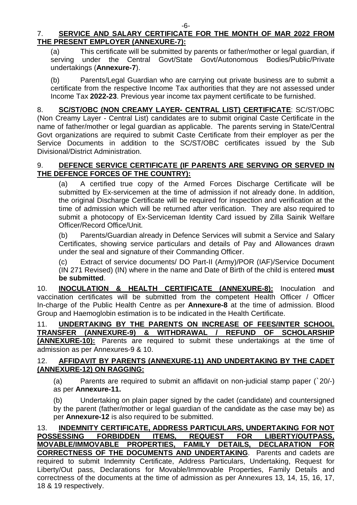### 7. **SERVICE AND SALARY CERTIFICATE FOR THE MONTH OF MAR 2022 FROM THE PRESENT EMPLOYER (ANNEXURE-7):**

(a) This certificate will be submitted by parents or father/mother or legal guardian, if serving under the Central Govt/State Govt/Autonomous Bodies/Public/Private undertakings (**Annexure-7**).

(b) Parents/Legal Guardian who are carrying out private business are to submit a certificate from the respective Income Tax authorities that they are not assessed under Income Tax **2022-23**. Previous year income tax payment certificate to be furnished.

8. **SC/ST/OBC (NON CREAMY LAYER- CENTRAL LIST) CERTIFICATE**: SC/ST/OBC (Non Creamy Layer - Central List) candidates are to submit original Caste Certificate in the name of father/mother or legal guardian as applicable. The parents serving in State/Central Govt organizations are required to submit Caste Certificate from their employer as per the Service Documents in addition to the SC/ST/OBC certificates issued by the Sub Divisional/District Administration.

### 9. **DEFENCE SERVICE CERTIFICATE (IF PARENTS ARE SERVING OR SERVED IN THE DEFENCE FORCES OF THE COUNTRY):**

(a) A certified true copy of the Armed Forces Discharge Certificate will be submitted by Ex-servicemen at the time of admission if not already done. In addition, the original Discharge Certificate will be required for inspection and verification at the time of admission which will be returned after verification. They are also required to submit a photocopy of Ex-Serviceman Identity Card issued by Zilla Sainik Welfare Officer/Record Office/Unit.

(b) Parents/Guardian already in Defence Services will submit a Service and Salary Certificates, showing service particulars and details of Pay and Allowances drawn under the seal and signature of their Commanding Officer.

(c) Extract of service documents/ DO Part-II (Army)/POR (IAF)/Service Document (IN 271 Revised) (IN) where in the name and Date of Birth of the child is entered **must be submitted**.

10. **INOCULATION & HEALTH CERTIFICATE (ANNEXURE-8):** Inoculation and vaccination certificates will be submitted from the competent Health Officer / Officer In-charge of the Public Health Centre as per **Annexure-8** at the time of admission. Blood Group and Haemoglobin estimation is to be indicated in the Health Certificate.

11. **UNDERTAKING BY THE PARENTS ON INCREASE OF FEES/INTER SCHOOL TRANSFER (ANNEXURE-9) & WITHDRAWAL / REFUND OF SCHOLARSHIP (ANNEXURE-10):** Parents are required to submit these undertakings at the time of admission as per Annexures-9 & 10.

### 12. **AFFIDAVIT BY PARENTS (ANNEXURE-11) AND UNDERTAKING BY THE CADET (ANNEXURE-12) ON RAGGING:**

(a) Parents are required to submit an affidavit on non-judicial stamp paper (`20/-) as per **Annexure-11.**

(b) Undertaking on plain paper signed by the cadet (candidate) and countersigned by the parent (father/mother or legal guardian of the candidate as the case may be) as per **Annexure-12** is also required to be submitted.

#### 13. **INDEMNITY CERTIFICATE, ADDRESS PARTICULARS, UNDERTAKING FOR NOT POSSESSING FORBIDDEN ITEMS, REQUEST FOR LIBERTY/OUTPASS, MOVABLE/IMMOVABLE PROPERTIES, FAMILY DETAILS, DECLARATION FOR CORRECTNESS OF THE DOCUMENTS AND UNDERTAKING**. Parents and cadets are required to submit Indemnity Certificate, Address Particulars, Undertaking, Request for Liberty/Out pass, Declarations for Movable/Immovable Properties, Family Details and correctness of the documents at the time of admission as per Annexures 13, 14, 15, 16, 17, 18 & 19 respectively.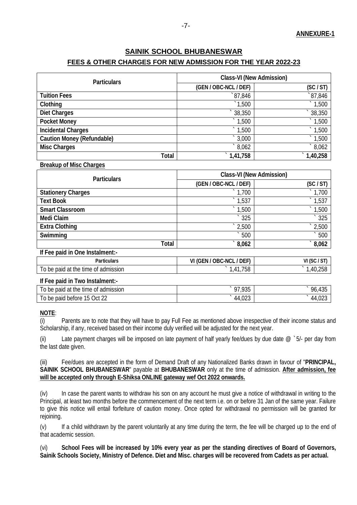#### **FEES & OTHER CHARGES FOR NEW ADMISSION FOR THE YEAR 2022-23**

| <b>Particulars</b>                |                       | <b>Class-VI (New Admission)</b> |  |  |  |
|-----------------------------------|-----------------------|---------------------------------|--|--|--|
|                                   | (GEN / OBC-NCL / DEF) | (SC / ST)                       |  |  |  |
| <b>Tuition Fees</b>               | 87,846                | $\degree$ 87,846                |  |  |  |
| Clothing                          | $^{\degree}1,500$     | $\degree$ 1,500                 |  |  |  |
| <b>Diet Charges</b>               | $\hat{ }$ 38,350      | $\degree$ 38,350                |  |  |  |
| <b>Pocket Money</b>               | $^{\degree}1,500$     | 1,500                           |  |  |  |
| <b>Incidental Charges</b>         | $\degree$ 1,500       | 1,500                           |  |  |  |
| <b>Caution Money (Refundable)</b> | $\hat{ }$ 3,000       | $^{\degree}1,500$               |  |  |  |
| <b>Misc Charges</b>               | $^{\circ}8,062$       | 8,062                           |  |  |  |
| <b>Total</b>                      | 1,41,758              | 1,40,258                        |  |  |  |

#### **Breakup of Misc Charges**

| <b>Particulars</b>                  | <b>Class-VI (New Admission)</b> |                    |  |  |
|-------------------------------------|---------------------------------|--------------------|--|--|
|                                     | (GEN / OBC-NCL / DEF)           | (SC / ST)          |  |  |
| <b>Stationery Charges</b>           | $\degree$ 1,700                 | $\degree$ 1,700    |  |  |
| <b>Text Book</b>                    | $^{\degree}1,537$               | $^{\degree}1,537$  |  |  |
| <b>Smart Classroom</b>              | $\degree$ 1,500                 | $\degree$ 1,500    |  |  |
| <b>Medi Claim</b>                   | $\degree$ 325                   | $\degree$ 325      |  |  |
| <b>Extra Clothing</b>               | $\degree$ 2,500                 | $\degree$ 2,500    |  |  |
| <b>Swimming</b>                     | 500                             | 500                |  |  |
| <b>Total</b>                        | $\degree$ 8,062                 | $\hat{8,062}$      |  |  |
| If Fee paid in One Instalment:-     |                                 |                    |  |  |
| <b>Particulars</b>                  | VI (GEN / OBC-NCL / DEF)        | VI (SC / ST)       |  |  |
| To be paid at the time of admission | $\degree$ 1,41,758              | $\degree$ 1,40,258 |  |  |
| If Fee paid in Two Instalment:-     |                                 |                    |  |  |
| To be paid at the time of admission | $\degree$ 97,935                | 96,435             |  |  |

### To be paid before 15 Oct 22 **\cdot** \ \ \ \ \ \ \ \ \ \ \ \ \ \ 44,023 \ \ \ \ \ \ \ \ 44,023

#### **NOTE**:

(i) Parents are to note that they will have to pay Full Fee as mentioned above irrespective of their income status and Scholarship, if any, received based on their income duly verified will be adjusted for the next year.

(ii) Late payment charges will be imposed on late payment of half yearly fee/dues by due date  $@$  `5/- per day from the last date given.

(iii) Fee/dues are accepted in the form of Demand Draft of any Nationalized Banks drawn in favour of "**PRINCIPAL, SAINIK SCHOOL BHUBANESWAR**" payable at **BHUBANESWAR** only at the time of admission. **After admission, fee will be accepted only through E-Shiksa ONLINE gateway wef Oct 2022 onwards.** 

(iv) In case the parent wants to withdraw his son on any account he must give a notice of withdrawal in writing to the Principal, at least two months before the commencement of the next term i.e. on or before 31 Jan of the same year. Failure to give this notice will entail forfeiture of caution money. Once opted for withdrawal no permission will be granted for rejoining.

(v) If a child withdrawn by the parent voluntarily at any time during the term, the fee will be charged up to the end of that academic session.

(vi) **School Fees will be increased by 10% every year as per the standing directives of Board of Governors, Sainik Schools Society, Ministry of Defence. Diet and Misc. charges will be recovered from Cadets as per actual.**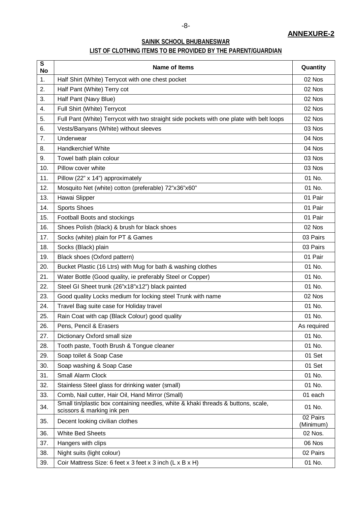### **ANNEXURE-2**

### **SAINIK SCHOOL BHUBANESWAR**

### **LIST OF CLOTHING ITEMS TO BE PROVIDED BY THE PARENT/GUARDIAN**

| $\overline{\mathsf{s}}$<br><b>No</b> | Name of Items                                                                                                   | Quantity              |
|--------------------------------------|-----------------------------------------------------------------------------------------------------------------|-----------------------|
| 1.                                   | Half Shirt (White) Terrycot with one chest pocket                                                               | 02 Nos                |
| 2.                                   | Half Pant (White) Terry cot                                                                                     | 02 Nos                |
| 3.                                   | Half Pant (Navy Blue)                                                                                           | 02 Nos                |
| 4.                                   | Full Shirt (White) Terrycot                                                                                     | 02 Nos                |
| 5.                                   | Full Pant (White) Terrycot with two straight side pockets with one plate with belt loops                        | 02 Nos                |
| 6.                                   | Vests/Banyans (White) without sleeves                                                                           | 03 Nos                |
| 7.                                   | Underwear                                                                                                       | 04 Nos                |
| 8.                                   | <b>Handkerchief White</b>                                                                                       | 04 Nos                |
| 9.                                   | Towel bath plain colour                                                                                         | 03 Nos                |
| 10.                                  | Pillow cover white                                                                                              | 03 Nos                |
| 11.                                  | Pillow (22" x 14") approximately                                                                                | 01 No.                |
| 12.                                  | Mosquito Net (white) cotton (preferable) 72"x36"x60"                                                            | 01 No.                |
| 13.                                  | Hawai Slipper                                                                                                   | 01 Pair               |
| 14.                                  | <b>Sports Shoes</b>                                                                                             | 01 Pair               |
| 15.                                  | Football Boots and stockings                                                                                    | 01 Pair               |
| 16.                                  | Shoes Polish (black) & brush for black shoes                                                                    | 02 Nos                |
| 17.                                  | Socks (white) plain for PT & Games                                                                              | 03 Pairs              |
| 18.                                  | Socks (Black) plain                                                                                             | 03 Pairs              |
| 19.                                  | Black shoes (Oxford pattern)                                                                                    | 01 Pair               |
| 20.                                  | Bucket Plastic (16 Ltrs) with Mug for bath & washing clothes                                                    | 01 No.                |
| 21.                                  | Water Bottle (Good quality, ie preferably Steel or Copper)                                                      | 01 No.                |
| 22.                                  | Steel GI Sheet trunk (26"x18"x12") black painted                                                                | 01 No.                |
| 23.                                  | Good quality Locks medium for locking steel Trunk with name                                                     | 02 Nos                |
| 24.                                  | Travel Bag suite case for Holiday travel                                                                        | 01 No.                |
| 25.                                  | Rain Coat with cap (Black Colour) good quality                                                                  | 01 No.                |
| 26.                                  | Pens, Pencil & Erasers                                                                                          | As required           |
| 27.                                  | Dictionary Oxford small size                                                                                    | 01 No.                |
| 28.                                  | Tooth paste, Tooth Brush & Tongue cleaner                                                                       | 01 No.                |
| 29.                                  | Soap toilet & Soap Case                                                                                         | 01 Set                |
| 30.                                  | Soap washing & Soap Case                                                                                        | 01 Set                |
| 31.                                  | Small Alarm Clock                                                                                               | 01 No.                |
| 32.                                  | Stainless Steel glass for drinking water (small)                                                                | 01 No.                |
| 33.                                  | Comb, Nail cutter, Hair Oil, Hand Mirror (Small)                                                                | 01 each               |
| 34.                                  | Small tin/plastic box containing needles, white & khaki threads & buttons, scale,<br>scissors & marking ink pen | 01 No.                |
| 35.                                  | Decent looking civilian clothes                                                                                 | 02 Pairs<br>(Minimum) |
| 36.                                  | <b>White Bed Sheets</b>                                                                                         | 02 Nos.               |
| 37.                                  | Hangers with clips                                                                                              | 06 Nos                |
| 38.                                  | Night suits (light colour)                                                                                      | 02 Pairs              |
| 39.                                  | Coir Mattress Size: 6 feet x 3 feet x 3 inch (L x B x H)                                                        | 01 No.                |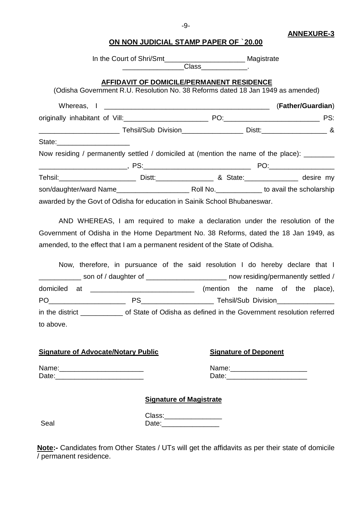#### **ANNEXURE-3**

### **ON NON JUDICIAL STAMP PAPER OF** `**20.00**

|                                                                                                                 | In the Court of Shri/Smt_________________________________ Magistrate |                                                                              |
|-----------------------------------------------------------------------------------------------------------------|----------------------------------------------------------------------|------------------------------------------------------------------------------|
| (Odisha Government R.U. Resolution No. 38 Reforms dated 18 Jan 1949 as amended)                                 | AFFIDAVIT OF DOMICILE/PERMANENT RESIDENCE                            |                                                                              |
|                                                                                                                 |                                                                      |                                                                              |
|                                                                                                                 |                                                                      |                                                                              |
| ___________________________________Tehsil/Sub_Division_________________________Distt:_________________________& |                                                                      |                                                                              |
| State:______________________                                                                                    |                                                                      |                                                                              |
| Now residing / permanently settled / domiciled at (mention the name of the place): ________                     |                                                                      |                                                                              |
|                                                                                                                 |                                                                      |                                                                              |
|                                                                                                                 |                                                                      |                                                                              |
|                                                                                                                 |                                                                      |                                                                              |
| awarded by the Govt of Odisha for education in Sainik School Bhubaneswar.                                       |                                                                      |                                                                              |
|                                                                                                                 |                                                                      | AND WHEREAS. I am required to make a declaration under the resolution of the |

 $S$ , I am required to make a declaration under the resolution Government of Odisha in the Home Department No. 38 Reforms, dated the 18 Jan 1949, as amended, to the effect that I am a permanent resident of the State of Odisha.

|           | Now, therefore, in pursuance of the said resolution I do hereby declare that I                      |  |                                  |  |  |  |
|-----------|-----------------------------------------------------------------------------------------------------|--|----------------------------------|--|--|--|
|           | __ son of / daughter of _____________________ now residing/permanently settled /                    |  |                                  |  |  |  |
|           |                                                                                                     |  | (mention the name of the place), |  |  |  |
|           |                                                                                                     |  |                                  |  |  |  |
|           | in the district _______________ of State of Odisha as defined in the Government resolution referred |  |                                  |  |  |  |
| to above. |                                                                                                     |  |                                  |  |  |  |

#### **Signature of Advocate/Notary Public Signature of Deponent**

| Name: | Name |
|-------|------|
| Date  | Jate |

| Name: |  |
|-------|--|
| Date: |  |

#### **Signature of Magistrate**

| 41<br>×<br>×<br>۰,<br>. .<br>۰.<br>M. |
|---------------------------------------|
|---------------------------------------|

|      | Class: |
|------|--------|
| Seal | Date:  |

**Note:-** Candidates from Other States / UTs will get the affidavits as per their state of domicile / permanent residence.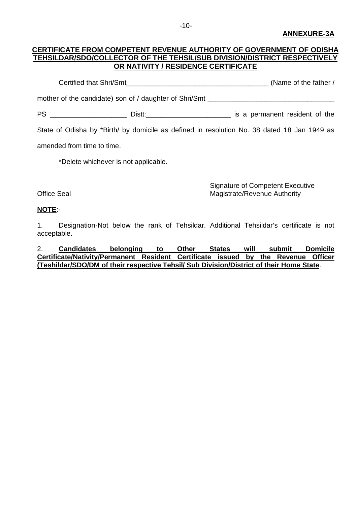#### **CERTIFICATE FROM COMPETENT REVENUE AUTHORITY OF GOVERNMENT OF ODISHA TEHSILDAR/SDO/COLLECTOR OF THE TEHSIL/SUB DIVISION/DISTRICT RESPECTIVELY OR NATIVITY / RESIDENCE CERTIFICATE**

Certified that Shri/Smt\_\_\_\_\_\_\_\_\_\_\_\_\_\_\_\_\_\_\_\_\_\_\_\_\_\_\_\_\_\_\_\_\_\_\_\_\_ (Name of the father /

mother of the candidate) son of / daughter of Shri/Smt \_\_\_\_\_\_\_\_\_\_\_\_\_\_\_\_\_\_\_\_\_\_\_\_\_

PS \_\_\_\_\_\_\_\_\_\_\_\_\_\_\_\_\_\_\_\_\_\_\_\_\_\_\_ Distt:\_\_\_\_\_\_\_\_\_\_\_\_\_\_\_\_\_\_\_\_\_\_\_\_\_\_\_\_\_\_\_\_\_\_ is a permanent resident of the

State of Odisha by \*Birth/ by domicile as defined in resolution No. 38 dated 18 Jan 1949 as

amended from time to time.

\*Delete whichever is not applicable.

Signature of Competent Executive Office Seal **Magistrate/Revenue Authority** 

#### **NOTE**:-

1. Designation-Not below the rank of Tehsildar. Additional Tehsildar's certificate is not acceptable.

2. **Candidates belonging to Other States will submit Domicile Certificate/Nativity/Permanent Resident Certificate issued by the Revenue Officer (Teshildar/SDO/DM of their respective Tehsil/ Sub Division/District of their Home State**.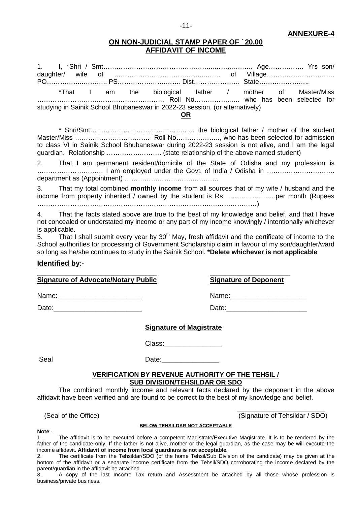#### **ANNEXURE-4**

#### **ON NON-JUDICIAL STAMP PAPER OF `20.00 AFFIDAVIT OF INCOME**

1. I, \*Shri / Smt…………………………………………...………..……. Age……………. Yrs son/ daughter/ wife of …………………………………...……. of Village…………………………. PO……………..……….. PS………………….……. Dist………………… State………………….. \*That I am the biological father / mother of Master/Miss ……………………….………………………… Roll No……………..…. who has been selected for studying in Sainik School Bhubaneswar in 2022-23 session. (or alternatively) **OR**

\* Shri/Smt……………………………………...… the biological father / mother of the student Master/Miss ……………………………. Roll No……………….., who has been selected for admission to class VI in Sainik School Bhubaneswar during 2022-23 session is not alive, and I am the legal guardian. Relationship ……………………. (state relationship of the above named student)

2. That I am permanent resident/domicile of the State of Odisha and my profession is ………………………… I am employed under the Govt. of India / Odisha in …………………………. department as (Appointment) ………………………….…………

3. That my total combined **monthly income** from all sources that of my wife / husband and the income from property inherited / owned by the student is Rs ……………….….per month (Rupees …………………………………………………………………….…………………)

4. That the facts stated above are true to the best of my knowledge and belief, and that I have not concealed or understated my income or any part of my income knowingly / intentionally whichever is applicable.

 $5.$  That I shall submit every year by  $30<sup>th</sup>$  May, fresh affidavit and the certificate of income to the School authorities for processing of Government Scholarship claim in favour of my son/daughter/ward so long as he/she continues to study in the Sainik School. **\*Delete whichever is not applicable**

#### **Identified by**:-

\_\_\_\_\_\_\_\_\_\_\_\_\_\_\_\_\_\_\_\_\_\_\_\_\_\_\_\_\_\_ \_\_\_\_\_\_\_\_\_\_\_\_\_\_\_\_\_\_\_\_ **Signature of Advocate/Notary Public Signature of Deponent**

Name: where  $\blacksquare$ 

Date:\_\_\_\_\_\_\_\_\_\_\_\_\_\_\_\_\_\_\_\_\_\_\_ Date:\_\_\_\_\_\_\_\_\_\_\_\_\_\_\_\_\_\_\_\_\_

#### **Signature of Magistrate**

Class:\_\_\_\_\_\_\_\_\_\_\_\_\_\_\_

Seal Date:

#### **VERIFICATION BY REVENUE AUTHORITY OF THE TEHSIL / SUB DIVISION/TEHSILDAR OR SDO**

The combined monthly income and relevant facts declared by the deponent in the above affidavit have been verified and are found to be correct to the best of my knowledge and belief.

 $\frac{1}{\sqrt{2}}$  ,  $\frac{1}{\sqrt{2}}$  ,  $\frac{1}{\sqrt{2}}$  ,  $\frac{1}{\sqrt{2}}$  ,  $\frac{1}{\sqrt{2}}$  ,  $\frac{1}{\sqrt{2}}$  ,  $\frac{1}{\sqrt{2}}$  ,  $\frac{1}{\sqrt{2}}$  ,  $\frac{1}{\sqrt{2}}$  ,  $\frac{1}{\sqrt{2}}$  ,  $\frac{1}{\sqrt{2}}$  ,  $\frac{1}{\sqrt{2}}$  ,  $\frac{1}{\sqrt{2}}$  ,  $\frac{1}{\sqrt{2}}$  ,  $\frac{1}{\sqrt{2}}$ (Seal of the Office) (Signature of Tehsildar / SDO)

#### **BELOW TEHSILDAR NOT ACCEPTABLE**

### **Note**:-

The affidavit is to be executed before a competent Magistrate/Executive Magistrate. It is to be rendered by the father of the candidate only. If the father is not alive, mother or the legal guardian, as the case may be will execute the income affidavit. **Affidavit of income from local guardians is not acceptable.**

2. The certificate from the Tehsildar/SDO (of the home Tehsil/Sub Division of the candidate) may be given at the bottom of the affidavit or a separate income certificate from the Tehsil/SDO corroborating the income declared by the parent/guardian in the affidavit be attached.

3. A copy of the last Income Tax return and Assessment be attached by all those whose profession is business/private business.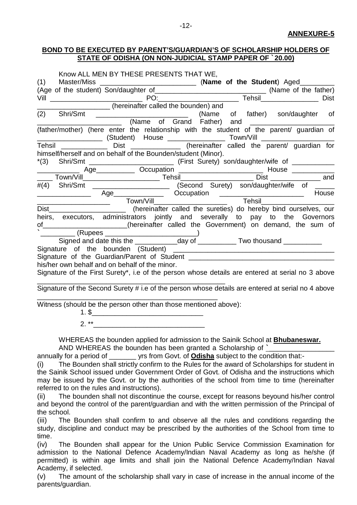#### **BOND TO BE EXECUTED BY PARENT'S/GUARDIAN'S OF SCHOLARSHIP HOLDERS OF STATE OF ODISHA (ON NON-JUDICIAL STAMP PAPER OF `20.00)**

|     | Know ALL MEN BY THESE PRESENTS THAT WE,                                                                                                                                                                                                |                                                                                  |  |  |  |  |
|-----|----------------------------------------------------------------------------------------------------------------------------------------------------------------------------------------------------------------------------------------|----------------------------------------------------------------------------------|--|--|--|--|
|     | (1) Master/Miss (Age of the student) Son/daughter of <b>Name of the Student</b> ) Aged<br>Vill PO: Tehsil Channel Channel Channel Channel Channel Channel Channel Channel Channel Channel Channel Channel Channel Channel Channel Chan |                                                                                  |  |  |  |  |
|     |                                                                                                                                                                                                                                        |                                                                                  |  |  |  |  |
|     |                                                                                                                                                                                                                                        |                                                                                  |  |  |  |  |
|     |                                                                                                                                                                                                                                        |                                                                                  |  |  |  |  |
| (2) | Shri/Smt __________________________________(Name of father) son/daughter of                                                                                                                                                            |                                                                                  |  |  |  |  |
|     |                                                                                                                                                                                                                                        | (Name of Grand Father) and <b>Example 2018</b>                                   |  |  |  |  |
|     | (father/mother) (here enter the relationship with the student of the parent/ guardian of                                                                                                                                               |                                                                                  |  |  |  |  |
|     | Tehsil _______________ Dist _______________ (hereinafter called the parent/ guardian for                                                                                                                                               |                                                                                  |  |  |  |  |
|     | himself/herself and on behalf of the Bounden/student (Minor).                                                                                                                                                                          |                                                                                  |  |  |  |  |
|     |                                                                                                                                                                                                                                        |                                                                                  |  |  |  |  |
|     |                                                                                                                                                                                                                                        | Age______________ Occupation ________________________________ House ____________ |  |  |  |  |
|     | ____ Town/Vill____________________________Tehsil________________________Dist __________________ and                                                                                                                                    |                                                                                  |  |  |  |  |
|     | #(4) Shri/Smt __________________________ (Second Surety) son/daughter/wife of _____                                                                                                                                                    |                                                                                  |  |  |  |  |
|     |                                                                                                                                                                                                                                        |                                                                                  |  |  |  |  |
|     |                                                                                                                                                                                                                                        |                                                                                  |  |  |  |  |
|     | Dist______________________________(hereinafter called the sureties) do hereby bind ourselves, our                                                                                                                                      |                                                                                  |  |  |  |  |
|     | heirs, executors, administrators jointly and severally to pay to the Governors                                                                                                                                                         |                                                                                  |  |  |  |  |
|     | of _____________________(hereinafter called the Government) on demand, the sum of                                                                                                                                                      |                                                                                  |  |  |  |  |
|     | __________ (Rupees ________________________)                                                                                                                                                                                           |                                                                                  |  |  |  |  |
|     | Signed and date this the ______________day of ____________Two thousand __________                                                                                                                                                      |                                                                                  |  |  |  |  |
|     |                                                                                                                                                                                                                                        |                                                                                  |  |  |  |  |
|     |                                                                                                                                                                                                                                        |                                                                                  |  |  |  |  |
|     | his/her own behalf and on behalf of the minor.                                                                                                                                                                                         |                                                                                  |  |  |  |  |
|     | Signature of the First Surety*, i.e of the person whose details are entered at serial no 3 above                                                                                                                                       |                                                                                  |  |  |  |  |
|     | Signature of the Second Surety # i.e of the person whose details are entered at serial no 4 above                                                                                                                                      |                                                                                  |  |  |  |  |
|     | Witness (should be the person other than those mentioned above):                                                                                                                                                                       | 1. \$                                                                            |  |  |  |  |
|     | $2.***$                                                                                                                                                                                                                                |                                                                                  |  |  |  |  |

WHEREAS the bounden applied for admission to the Sainik School at **Bhubaneswar.** AND WHEREAS the bounden has been granted a Scholarship of **`**\_\_\_\_\_\_\_\_\_\_\_\_\_\_\_\_\_

annually for a period of \_\_\_\_\_\_\_ yrs from Govt. of **Odisha** subject to the condition that:-

(i) The Bounden shall strictly confirm to the Rules for the award of Scholarships for student in the Sainik School issued under Government Order of Govt. of Odisha and the instructions which may be issued by the Govt. or by the authorities of the school from time to time (hereinafter referred to on the rules and instructions).

(ii) The bounden shall not discontinue the course, except for reasons beyound his/her control and beyond the control of the parent/guardian and with the written permission of the Principal of the school.

(iii) The Bounden shall confirm to and observe all the rules and conditions regarding the study, discipline and conduct may be prescribed by the authorities of the School from time to time.

(iv) The Bounden shall appear for the Union Public Service Commission Examination for admission to the National Defence Academy/Indian Naval Academy as long as he/she (if permitted) is within age limits and shall join the National Defence Academy/Indian Naval Academy, if selected.

(v) The amount of the scholarship shall vary in case of increase in the annual income of the parents/guardian.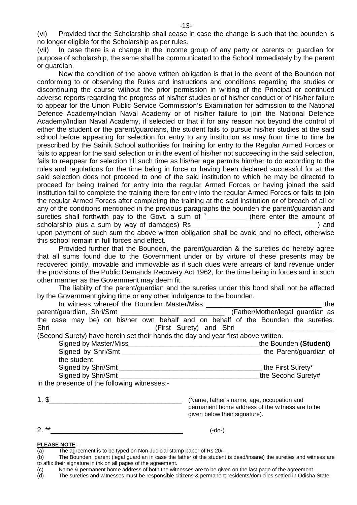(vi) Provided that the Scholarship shall cease in case the change is such that the bounden is no longer eligible for the Scholarship as per rules.

(vii) In case there is a change in the income group of any party or parents or guardian for purpose of scholarship, the same shall be communicated to the School immediately by the parent or guardian.

Now the condition of the above written obligation is that in the event of the Bounden not conforming to or observing the Rules and instructions and conditions regarding the studies or discontinuing the course without the prior permission in writing of the Principal or continued adverse reports regarding the progress of his/her studies or of his/her conduct or of his/her failure to appear for the Union Public Service Commission's Examination for admission to the National Defence Academy/Indian Naval Academy or of his/her failure to join the National Defence Academy/Indian Naval Academy, if selected or that if for any reason not beyond the control of either the student or the parent/guardians, the student fails to pursue his/her studies at the said school before appearing for selection for entry to any institution as may from time to time be prescribed by the Sainik School authorities for training for entry to the Regular Armed Forces or fails to appear for the said selection or in the event of his/her not succeeding in the said selection, fails to reappear for selection till such time as his/her age permits him/her to do according to the rules and regulations for the time being in force or having been declared successful for at the said selection does not proceed to one of the said institution to which he may be directed to proceed for being trained for entry into the regular Armed Forces or having joined the said institution fail to complete the training there for entry into the regular Armed Forces or fails to join the regular Armed Forces after completing the training at the said institution or of breach of all or any of the conditions mentioned in the previous paragraphs the bounden the parent/guardian and sureties shall forthwith pay to the Govt. a sum of **`**\_\_\_\_\_\_\_\_\_\_ (here enter the amount of scholarship plus a sum by way of damages) Rs\_\_\_\_\_\_\_\_\_\_\_\_\_\_\_\_\_\_\_\_\_\_\_\_\_\_\_\_\_\_\_\_\_) and

upon payment of such sum the above written obligation shall be avoid and no effect, otherwise this school remain in full forces and effect.

Provided further that the Bounden, the parent/guardian & the sureties do hereby agree that all sums found due to the Government under or by virture of these presents may be recovered jointly, movable and immovable as if such dues were arrears of land revenue under the provisions of the Public Demands Recovery Act 1962, for the time being in forces and in such other manner as the Government may deem fit.

The liabiity of the parent/guardian and the sureties under this bond shall not be affected by the Government giving time or any other indulgence to the bounden.

| In witness whereof the Bounden Master/Miss                                        | the                              |
|-----------------------------------------------------------------------------------|----------------------------------|
|                                                                                   | (Father/Mother/legal guardian as |
| the case may be) on his/her own behalf and on behalf of the Bounden the sureties. |                                  |
|                                                                                   | (First Surety) and Shri          |
| (Second Surety) have herein set their hands the day and year first above written. |                                  |
| Signed by Master/Miss                                                             | the Bounden (Student)            |
| Signed by Shri/Smt                                                                | the Parent/guardian of           |
| the student                                                                       |                                  |
| Signed by Shri/Smt                                                                | the First Surety*                |
| Signed by Shri/Smt                                                                | the Second Surety#               |

In the presence of the following witnesses:-

| $\overline{\phantom{a}}$<br>. . |  |  |  |  |  |  |  |
|---------------------------------|--|--|--|--|--|--|--|
|                                 |  |  |  |  |  |  |  |

(Name, father's name, age, occupation and permanent home address of the witness are to be given below their signature).

2. \*\*\_\_\_\_\_\_\_\_\_\_\_\_\_\_\_\_\_\_\_\_\_\_\_\_\_\_\_\_\_\_\_\_\_ (-do-)

#### **PLEASE NOTE**:-

The sureties and witnesses must be responsible citizens & permanent residents/domiciles settled in Odisha State.

 $\overline{a}$  The agreement is to be typed on Non-Judicial stamp paper of Rs 20/-.

<sup>(</sup>b) The Bounden, parent (legal guardian in case the father of the student is dead/insane) the sureties and witness are to affix their signature in ink on all pages of the agreement.

<sup>(</sup>c) Name & permanent home address of both the witnesses are to be given on the last page of the agreement.<br>(d) The sureties and witnesses must be responsible citizens & permanent residents/domiciles settled in Odisha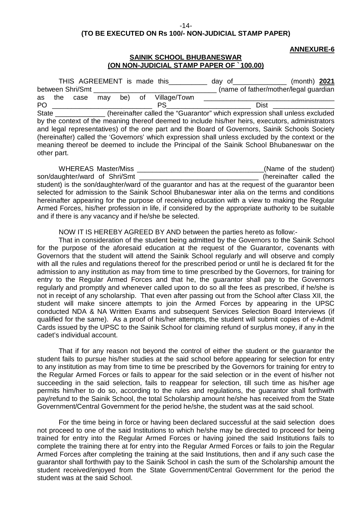-14-

#### **(TO BE EXECUTED ON Rs 100/- NON-JUDICIAL STAMP PAPER)**

#### **ANNEXURE-6**

#### **SAINIK SCHOOL BHUBANESWAR (ON NON-JUDICIAL STAMP PAPER OF `100.00)**

|    |                                                                                                   | THIS AGREEMENT is made this |     |     | day of | (month) $2021$  |  |                                                                                                  |  |  |
|----|---------------------------------------------------------------------------------------------------|-----------------------------|-----|-----|--------|-----------------|--|--------------------------------------------------------------------------------------------------|--|--|
|    |                                                                                                   | between Shri/Smt            |     |     |        |                 |  | (name of father/mother/legal guardian                                                            |  |  |
| as | the                                                                                               | case                        | may | be) |        | of Village/Town |  |                                                                                                  |  |  |
| PO |                                                                                                   |                             |     |     |        | <b>PS</b>       |  | Dist                                                                                             |  |  |
|    | State<br>(hereinafter called the "Guarantor" which expression shall unless excluded               |                             |     |     |        |                 |  |                                                                                                  |  |  |
|    |                                                                                                   |                             |     |     |        |                 |  | by the context of the meaning thereof deemed to include his/her heirs, executors, administrators |  |  |
|    |                                                                                                   |                             |     |     |        |                 |  | and legal representatives) of the one part and the Board of Governors, Sainik Schools Society    |  |  |
|    | (hereinafter) called the 'Governors' which expression shall unless excluded by the context or the |                             |     |     |        |                 |  |                                                                                                  |  |  |
|    | meaning thereof be deemed to include the Principal of the Sainik School Bhubaneswar on the        |                             |     |     |        |                 |  |                                                                                                  |  |  |
|    | other part.                                                                                       |                             |     |     |        |                 |  |                                                                                                  |  |  |

WHEREAS Master/Miss **The Student Student Contract Contract Contract Contract Contract Contract Contract Contract Contract Contract Contract Contract Contract Contract Contract Contract Contract Contract Contract Contract C** son/daughter/ward of Shri/Smt **being the son-daughter called** the student) is the son/daughter/ward of the guarantor and has at the request of the guarantor been selected for admission to the Sainik School Bhubaneswar inter alia on the terms and conditions hereinafter appearing for the purpose of receiving education with a view to making the Regular Armed Forces, his/her profession in life, if considered by the appropriate authority to be suitable and if there is any vacancy and if he/she be selected.

NOW IT IS HEREBY AGREED BY AND between the parties hereto as follow:-

That in consideration of the student being admitted by the Governors to the Sainik School for the purpose of the aforesaid education at the request of the Guarantor, covenants with Governors that the student will attend the Sainik School regularly and will observe and comply with all the rules and regulations thereof for the prescribed period or until he is declared fit for the admission to any institution as may from time to time prescribed by the Governors, for training for entry to the Regular Armed Forces and that he, the guarantor shall pay to the Governors regularly and promptly and whenever called upon to do so all the fees as prescribed, if he/she is not in receipt of any scholarship. That even after passing out from the School after Class XII, the student will make sincere attempts to join the Armed Forces by appearing in the UPSC conducted NDA & NA Written Exams and subsequent Services Selection Board Interviews (if qualified for the same). As a proof of his/her attempts, the student will submit copies of e-Admit Cards issued by the UPSC to the Sainik School for claiming refund of surplus money, if any in the cadet's individual account.

That if for any reason not beyond the control of either the student or the guarantor the student fails to pursue his/her studies at the said school before appearing for selection for entry to any institution as may from time to time be prescribed by the Governors for training for entry to the Regular Armed Forces or fails to appear for the said selection or in the event of his/her not succeeding in the said selection, fails to reappear for selection, till such time as his/her age permits him/her to do so, according to the rules and regulations, the guarantor shall forthwith pay/refund to the Sainik School, the total Scholarship amount he/she has received from the State Government/Central Government for the period he/she, the student was at the said school.

For the time being in force or having been declared successful at the said selection does not proceed to one of the said Institutions to which he/she may be directed to proceed for being trained for entry into the Regular Armed Forces or having joined the said Institutions fails to complete the training there at for entry into the Regular Armed Forces or fails to join the Regular Armed Forces after completing the training at the said Institutions, then and if any such case the guarantor shall forthwith pay to the Sainik School in cash the sum of the Scholarship amount the student received/enjoyed from the State Government/Central Government for the period the student was at the said School.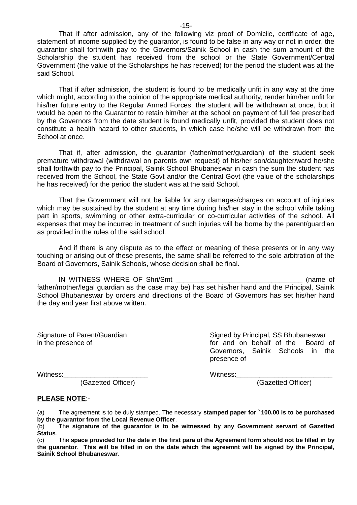That if after admission, any of the following viz proof of Domicile, certificate of age, statement of income supplied by the guarantor, is found to be false in any way or not in order, the guarantor shall forthwith pay to the Governors/Sainik School in cash the sum amount of the Scholarship the student has received from the school or the State Government/Central Government (the value of the Scholarships he has received) for the period the student was at the said School.

That if after admission, the student is found to be medically unfit in any way at the time which might, according to the opinion of the appropriate medical authority, render him/her unfit for his/her future entry to the Regular Armed Forces, the student will be withdrawn at once, but it would be open to the Guarantor to retain him/her at the school on payment of full fee prescribed by the Governors from the date student is found medically unfit, provided the student does not constitute a health hazard to other students, in which case he/she will be withdrawn from the School at once.

That if, after admission, the guarantor (father/mother/guardian) of the student seek premature withdrawal (withdrawal on parents own request) of his/her son/daughter/ward he/she shall forthwith pay to the Principal, Sainik School Bhubaneswar in cash the sum the student has received from the School, the State Govt and/or the Central Govt (the value of the scholarships he has received) for the period the student was at the said School.

That the Government will not be liable for any damages/charges on account of injuries which may be sustained by the student at any time during his/her stay in the school while taking part in sports, swimming or other extra-curricular or co-curricular activities of the school. All expenses that may be incurred in treatment of such injuries will be borne by the parent/guardian as provided in the rules of the said school.

And if there is any dispute as to the effect or meaning of these presents or in any way touching or arising out of these presents, the same shall be referred to the sole arbitration of the Board of Governors, Sainik Schools, whose decision shall be final.

IN WITNESS WHERE OF Shri/Smt \_\_\_\_\_\_\_\_\_\_\_\_\_\_\_\_\_\_\_\_\_\_\_\_\_\_\_\_\_\_\_\_\_ (name of father/mother/legal guardian as the case may be) has set his/her hand and the Principal, Sainik School Bhubaneswar by orders and directions of the Board of Governors has set his/her hand the day and year first above written.

Signature of Parent/Guardian Signed by Principal, SS Bhubaneswar in the presence of **for and on behalf of the Board of**  $\overline{a}$ Governors, Sainik Schools in the presence of

(Gazetted Officer) (Gazetted Officer)

Witness:\_\_\_\_\_\_\_\_\_\_\_\_\_\_\_\_\_\_\_\_\_\_ Witness:\_\_\_\_\_\_\_\_\_\_\_\_\_\_\_\_\_\_\_\_\_\_\_\_\_

#### **PLEASE NOTE**:-

(a) The agreement is to be duly stamped. The necessary **stamped paper for `100.00 is to be purchased by the guarantor from the Local Revenue Officer**.

(b) The **signature of the guarantor is to be witnessed by any Government servant of Gazetted Status**.

(c) The **space provided for the date in the first para of the Agreement form should not be filled in by the guarantor**. **This will be filled in on the date which the agreemnt will be signed by the Principal, Sainik School Bhubaneswar**.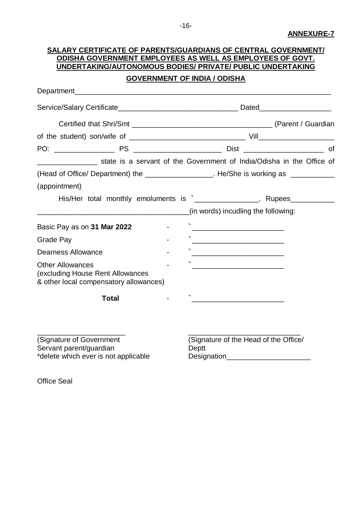## **SALARY CERTIFICATE OF PARENTS/GUARDIANS OF CENTRAL GOVERNMENT/ ODISHA GOVERNMENT EMPLOYEES AS WELL AS EMPLOYEES OF GOVT. UNDERTAKING/AUTONOMOUS BODIES/ PRIVATE/ PUBLIC UNDERTAKING GOVERNMENT OF INDIA / ODISHA** Department Service/Salary Certificate\_\_\_\_\_\_\_\_\_\_\_\_\_\_\_\_\_\_\_\_\_\_\_\_\_\_\_\_\_\_ Dated\_\_\_\_\_\_\_\_\_\_\_\_\_\_\_\_\_\_ Certified that Shri/Smt **Certified** that Shri/Smt **Certified** that Shri/Smt **CUALCE 100** of the student) son/wife of \_\_\_\_\_\_\_\_\_\_\_\_\_\_\_\_\_\_\_\_\_\_\_\_\_\_\_\_\_ Vill\_\_\_\_\_\_\_\_\_\_\_\_\_\_\_\_\_\_\_ PO: PS PO: PS PO: PS PO: PS PO: PS PO: PS PO: PS PO: PS PO: PS PO: PS PO: PS PO: PS PO: PS PO: PS PO: PS PO: PS PO: PS PO: PS PO: PS PO: PS PO: PS PO: PS PO: PS PO: PS PO: PS PO: PS PO: PS PO: PS PO: PS PO: PS PO: PS PO: P state is a servant of the Government of India/Odisha in the Office of (Head of Office/ Department) the example 2 and He/She is working as  $\blacksquare$ (appointment) His/Her total monthly emoluments is **`**\_\_\_\_\_\_\_\_\_\_\_\_\_\_\_\_, Rupees\_\_\_\_\_\_\_\_\_\_\_ (in words) incudling the following: Basic Pay as on **31 Mar 2022**  $\qquad -$ Grade Pay **Figure 2018** Dearness Allowance **and the Second Second Second Second Second Second Second Second Second Second Second Second Second Second Second Second Second Second Second Second Second Second Second Second Second Second Second Secon** Other Allowances (excluding House Rent Allowances & other local compensatory allowances) **Total** - **`**\_\_\_\_\_\_\_\_\_\_\_\_\_\_\_\_\_\_\_\_\_\_\_ \_\_\_\_\_\_\_\_\_\_\_\_\_\_\_\_\_\_\_\_\_\_ \_\_\_\_\_\_\_\_\_\_\_\_\_\_\_\_\_\_\_\_\_\_\_\_\_\_\_\_ (Signature of Government (Signature of the Head of the Office/

Servant parent/guardian Deptt

\*delete which ever is not applicable Designation

Office Seal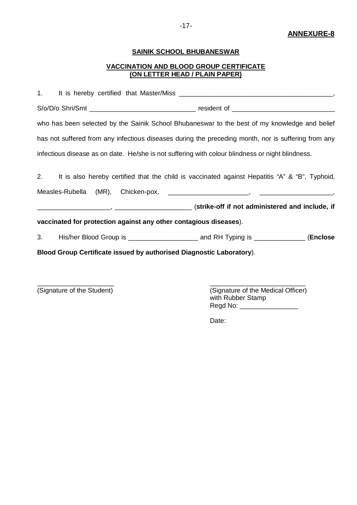#### **ANNEXURE-8**

### **SAINIK SCHOOL BHUBANESWAR**

#### **VACCINATION AND BLOOD GROUP CERTIFICATE (ON LETTER HEAD / PLAIN PAPER)**

| who has been selected by the Sainik School Bhubaneswar to the best of my knowledge and belief       |  |
|-----------------------------------------------------------------------------------------------------|--|
| has not suffered from any infectious diseases during the preceding month, nor is suffering from any |  |
| infectious disease as on date. He/she is not suffering with colour blindness or night blindness.    |  |
| 2. It is also hereby certified that the child is vaccinated against Hepatitis "A" & "B", Typhoid,   |  |
|                                                                                                     |  |
| vaccinated for protection against any other contagious diseases).                                   |  |
|                                                                                                     |  |
| Blood Group Certificate issued by authorised Diagnostic Laboratory).                                |  |

\_\_\_\_\_\_\_\_\_\_\_\_\_\_\_\_\_\_\_\_\_ \_\_\_\_\_\_\_\_\_\_\_\_\_\_\_\_\_\_\_\_\_\_\_\_\_\_

(Signature of the Student) (Signature of the Medical Officer) with Rubber Stamp Regd No: \_\_\_\_\_\_\_\_\_\_\_\_\_\_\_\_

Date: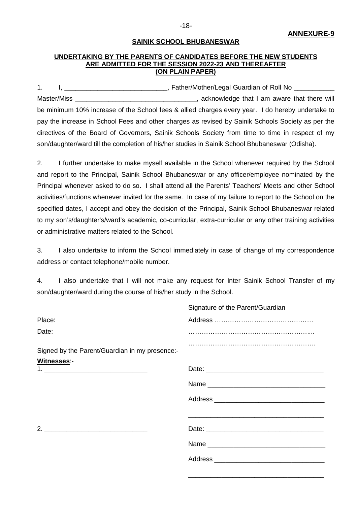#### **UNDERTAKING BY THE PARENTS OF CANDIDATES BEFORE THE NEW STUDENTS ARE ADMITTED FOR THE SESSION 2022-23 AND THEREAFTER (ON PLAIN PAPER)**

1. I, Letter and the state of the state of the state of the state of Roll No Letter and Tables and Tables and Tables and Tables and Tables and Tables and Tables and Tables and Tables and Tables and Tables and Tables and Ta Master/Miss Master/Miss **Master/Miss** acknowledge that I am aware that there will be minimum 10% increase of the School fees & allied charges every year. I do hereby undertake to pay the increase in School Fees and other charges as revised by Sainik Schools Society as per the directives of the Board of Governors, Sainik Schools Society from time to time in respect of my son/daughter/ward till the completion of his/her studies in Sainik School Bhubaneswar (Odisha).

2. I further undertake to make myself available in the School whenever required by the School and report to the Principal, Sainik School Bhubaneswar or any officer/employee nominated by the Principal whenever asked to do so. I shall attend all the Parents' Teachers' Meets and other School activities/functions whenever invited for the same. In case of my failure to report to the School on the specified dates, I accept and obey the decision of the Principal, Sainik School Bhubaneswar related to my son's/daughter's/ward's academic, co-curricular, extra-curricular or any other training activities or administrative matters related to the School.

3. I also undertake to inform the School immediately in case of change of my correspondence address or contact telephone/mobile number.

4. I also undertake that I will not make any request for Inter Sainik School Transfer of my son/daughter/ward during the course of his/her study in the School.

|                                                | Signature of the Parent/Guardian |
|------------------------------------------------|----------------------------------|
| Place:                                         |                                  |
| Date:                                          |                                  |
| Signed by the Parent/Guardian in my presence:- |                                  |
| Witnesses:-                                    |                                  |
|                                                |                                  |
|                                                |                                  |
|                                                |                                  |
|                                                |                                  |
|                                                |                                  |
|                                                |                                  |
|                                                |                                  |

\_\_\_\_\_\_\_\_\_\_\_\_\_\_\_\_\_\_\_\_\_\_\_\_\_\_\_\_\_\_\_\_\_\_\_\_\_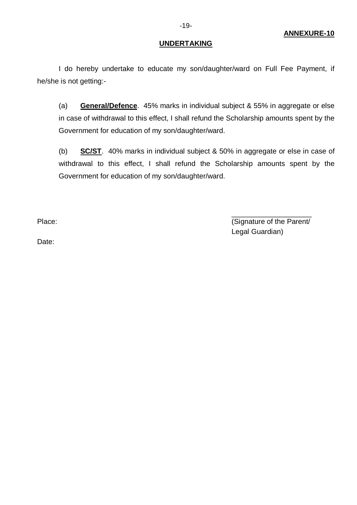#### **ANNEXURE-10**

#### **UNDERTAKING**

I do hereby undertake to educate my son/daughter/ward on Full Fee Payment, if he/she is not getting:-

(a) **General/Defence**. 45% marks in individual subject & 55% in aggregate or else in case of withdrawal to this effect, I shall refund the Scholarship amounts spent by the Government for education of my son/daughter/ward.

(b) **SC/ST**. 40% marks in individual subject & 50% in aggregate or else in case of withdrawal to this effect, I shall refund the Scholarship amounts spent by the Government for education of my son/daughter/ward.

\_\_\_\_\_\_\_\_\_\_\_\_\_\_\_\_\_\_\_\_ Place:  $($ Signature of the Parent/ Legal Guardian)

Date: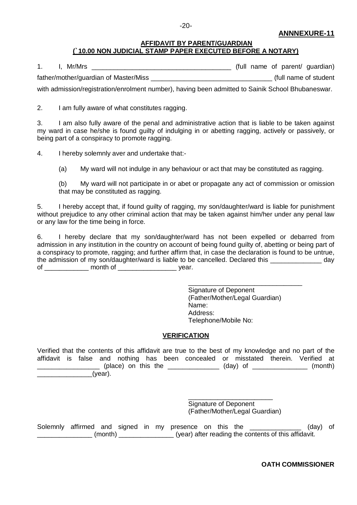#### **ANNNEXURE-11**

#### **AFFIDAVIT BY PARENT/GUARDIAN (`10.00 NON JUDICIAL STAMP PAPER EXECUTED BEFORE A NOTARY)**

| 1. | I, Mr/Mrs |                                       |  |  |  |  | (full name of parent/ guardian) |
|----|-----------|---------------------------------------|--|--|--|--|---------------------------------|
|    |           | father/mother/guardian of Master/Miss |  |  |  |  | (full name of student           |

with admission/registration/enrolment number), having been admitted to Sainik School Bhubaneswar.

2. I am fully aware of what constitutes ragging.

3. I am also fully aware of the penal and administrative action that is liable to be taken against my ward in case he/she is found guilty of indulging in or abetting ragging, actively or passively, or being part of a conspiracy to promote ragging.

4. I hereby solemnly aver and undertake that:-

(a) My ward will not indulge in any behaviour or act that may be constituted as ragging.

(b) My ward will not participate in or abet or propagate any act of commission or omission that may be constituted as ragging.

5. I hereby accept that, if found guilty of ragging, my son/daughter/ward is liable for punishment without prejudice to any other criminal action that may be taken against him/her under any penal law or any law for the time being in force.

6. I hereby declare that my son/daughter/ward has not been expelled or debarred from admission in any institution in the country on account of being found guilty of, abetting or being part of a conspiracy to promote, ragging; and further affirm that, in case the declaration is found to be untrue, the admission of my son/daughter/ward is liable to be cancelled. Declared this day of \_\_\_\_\_\_\_\_\_\_\_\_ month of \_\_\_\_\_\_\_\_\_\_\_\_\_\_\_\_ year.

> \_\_\_\_\_\_\_\_\_\_\_\_\_\_\_\_\_\_\_\_\_\_\_\_\_\_\_\_\_\_\_ Signature of Deponent (Father/Mother/Legal Guardian) Name: Address: Telephone/Mobile No:

#### **VERIFICATION**

Verified that the contents of this affidavit are true to the best of my knowledge and no part of the affidavit is false and nothing has been concealed or misstated therein. Verified at  $\Box$  (place) on this the  $\Box$  (day) of  $\Box$  (month) \_\_\_\_\_\_\_\_\_\_\_\_\_\_\_(year).

> \_\_\_\_\_\_\_\_\_\_\_\_\_\_\_\_\_\_\_\_\_\_\_ Signature of Deponent (Father/Mother/Legal Guardian)

Solemnly affirmed and signed in my presence on this the \_\_\_\_\_\_\_\_\_\_\_\_\_\_ (day) of \_\_\_\_\_\_\_\_\_\_\_\_\_\_\_ (month) \_\_\_\_\_\_\_\_\_\_\_\_\_\_\_ (year) after reading the contents of this affidavit.

**OATH COMMISSIONER**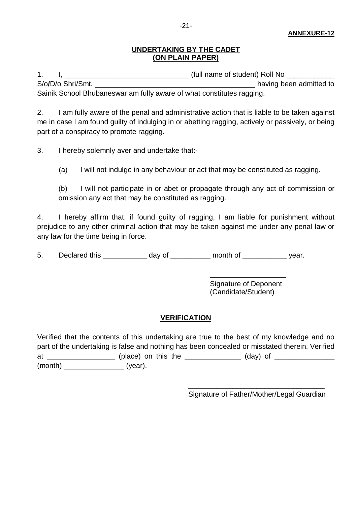### **UNDERTAKING BY THE CADET (ON PLAIN PAPER)**

1. I, \_\_\_\_\_\_\_\_\_\_\_\_\_\_\_\_\_\_\_\_\_\_\_\_\_\_\_\_\_\_\_ (full name of student) Roll No \_\_\_\_\_\_\_\_\_\_\_\_ S/o/D/o Shri/Smt. **Solution** and the state of the state of the state of the state of the state of the state of the state of the state of the state of the state of the state of the state of the state of the state of the sta Sainik School Bhubaneswar am fully aware of what constitutes ragging.

2. I am fully aware of the penal and administrative action that is liable to be taken against me in case I am found guilty of indulging in or abetting ragging, actively or passively, or being part of a conspiracy to promote ragging.

3. I hereby solemnly aver and undertake that:-

(a) I will not indulge in any behaviour or act that may be constituted as ragging.

(b) I will not participate in or abet or propagate through any act of commission or omission any act that may be constituted as ragging.

4. I hereby affirm that, if found guilty of ragging, I am liable for punishment without prejudice to any other criminal action that may be taken against me under any penal law or any law for the time being in force.

5. Declared this because the day of the month of the vear.

Signature of Deponent (Candidate/Student)

\_\_\_\_\_\_\_\_\_\_\_\_\_\_\_\_\_\_\_

### **VERIFICATION**

Verified that the contents of this undertaking are true to the best of my knowledge and no part of the undertaking is false and nothing has been concealed or misstated therein. Verified at and the state of the state of the state of the state of the state of the state of the state of the state of the state of the state of the state of the state of the state of the state of the state of the state of the sta (month) \_\_\_\_\_\_\_\_\_\_\_\_\_\_\_ (year).

> \_\_\_\_\_\_\_\_\_\_\_\_\_\_\_\_\_\_\_\_\_\_\_\_\_\_\_\_\_\_\_\_\_\_ Signature of Father/Mother/Legal Guardian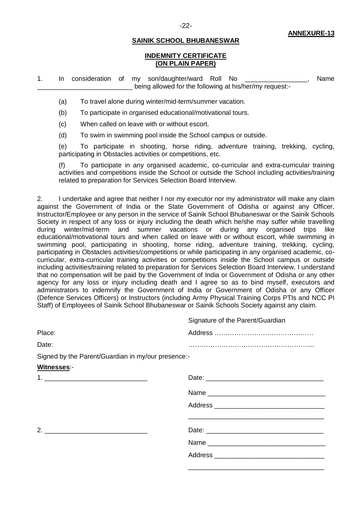#### **INDEMNITY CERTIFICATE (ON PLAIN PAPER)**

1. In consideration of my son/daughter/ward Roll No \_\_\_\_\_\_\_\_\_\_\_\_\_\_\_\_\_, Name being allowed for the following at his/her/my request:-

(a) To travel alone during winter/mid-term/summer vacation.

(b) To participate in organised educational/motivational tours.

(c) When called on leave with or without escort.

(d) To swim in swimming pool inside the School campus or outside.

(e) To participate in shooting, horse riding, adventure training, trekking, cycling, participating in Obstacles activities or competitions, etc.

(f) To participate in any organised academic, co-curricular and extra-curricular training activities and competitions inside the School or outside the School including activities/training related to preparation for Services Selection Board Interview.

2. I undertake and agree that neither I nor my executor nor my administrator will make any claim against the Government of India or the State Government of Odisha or against any Officer, Instructor/Employee or any person in the service of Sainik School Bhubaneswar or the Sainik Schools Society in respect of any loss or injury including the death which he/she may suffer while travelling during winter/mid-term and summer vacations or during any organised trips like educational/motivational tours and when called on leave with or without escort, while swimming in swimming pool, participating in shooting, horse riding, adventure training, trekking, cycling, participating in Obstacles activities/competitions or while participating in any organised academic, cocurricular, extra-curricular training activities or competitions inside the School campus or outside including activities/training related to preparation for Services Selection Board Interview, I understand that no compensation will be paid by the Government of India or Government of Odisha or any other agency for any loss or injury including death and I agree so as to bind myself, executors and administrators to indemnify the Government of India or Government of Odisha or any Officer (Defence Services Officers) or Instructors (including Army Physical Training Corps PTIs and NCC PI Staff) of Employees of Sainik School Bhubaneswar or Sainik Schools Society against any claim.

|                                                    | Signature of the Parent/Guardian |
|----------------------------------------------------|----------------------------------|
| Place:                                             |                                  |
| Date:                                              |                                  |
| Signed by the Parent/Guardian in my/our presence:- |                                  |
| Witnesses:-                                        |                                  |
|                                                    |                                  |
|                                                    |                                  |
|                                                    |                                  |
|                                                    |                                  |
|                                                    |                                  |
|                                                    |                                  |
|                                                    |                                  |
|                                                    |                                  |

-22-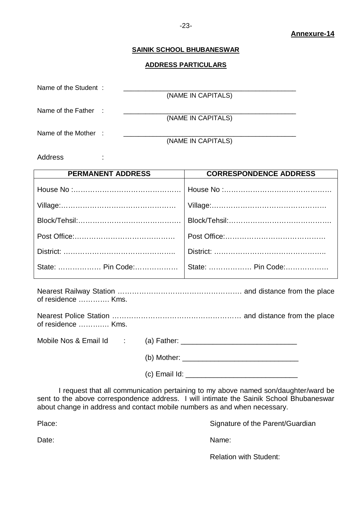#### **ADDRESS PARTICULARS**

| Name of the Student: |  |                    |
|----------------------|--|--------------------|
|                      |  | (NAME IN CAPITALS) |
| Name of the Father : |  |                    |
|                      |  | (NAME IN CAPITALS) |
| Name of the Mother : |  |                    |
|                      |  | (NAME IN CAPITALS) |

Address :

| <b>PERMANENT ADDRESS</b> | <b>CORRESPONDENCE ADDRESS</b> |
|--------------------------|-------------------------------|
|                          |                               |
|                          |                               |
|                          |                               |
|                          |                               |
|                          |                               |
| State:  Pin Code:        | State:  Pin Code:             |
|                          |                               |

Nearest Railway Station ……………………………………………. and distance from the place of residence …………. Kms.

| of residence  Kms. |  |  |
|--------------------|--|--|

Mobile Nos & Email Id : (a) Father: \_\_\_\_\_\_\_\_\_\_\_\_\_\_\_\_\_\_\_\_\_\_\_\_\_\_\_\_\_  $(b)$  Mother:

 $(c)$  Email Id:  $\qquad \qquad$ 

I request that all communication pertaining to my above named son/daughter/ward be sent to the above correspondence address. I will intimate the Sainik School Bhubaneswar about change in address and contact mobile numbers as and when necessary.

Place: Place: Signature of the Parent/Guardian

Date: Name: Name: Name: Name: Name: Name: Name: Name: Name: Name: Name: Name: Name: Name: Name: Name: Name: Name:  $\mathbb{N}$ 

Relation with Student: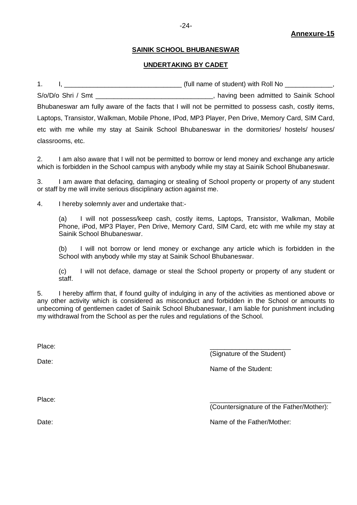#### **UNDERTAKING BY CADET**

1. I, \_\_\_\_\_\_\_\_\_\_\_\_\_\_\_\_\_\_\_\_\_\_\_\_\_\_\_\_\_\_\_\_ (full name of student) with Roll No \_\_\_\_\_\_\_\_\_\_\_\_\_, S/o/D/o Shri / Smt \_\_\_\_\_\_\_\_\_\_\_\_\_\_\_\_\_\_\_\_\_\_\_\_\_\_\_\_\_\_\_\_, having been admitted to Sainik School Bhubaneswar am fully aware of the facts that I will not be permitted to possess cash, costly items, Laptops, Transistor, Walkman, Mobile Phone, IPod, MP3 Player, Pen Drive, Memory Card, SIM Card, etc with me while my stay at Sainik School Bhubaneswar in the dormitories/ hostels/ houses/ classrooms, etc.

2. I am also aware that I will not be permitted to borrow or lend money and exchange any article which is forbidden in the School campus with anybody while my stay at Sainik School Bhubaneswar.

3. I am aware that defacing, damaging or stealing of School property or property of any student or staff by me will invite serious disciplinary action against me.

4. I hereby solemnly aver and undertake that:-

(a) I will not possess/keep cash, costly items, Laptops, Transistor, Walkman, Mobile Phone, iPod, MP3 Player, Pen Drive, Memory Card, SIM Card, etc with me while my stay at Sainik School Bhubaneswar.

(b) I will not borrow or lend money or exchange any article which is forbidden in the School with anybody while my stay at Sainik School Bhubaneswar.

(c) I will not deface, damage or steal the School property or property of any student or staff.

5. I hereby affirm that, if found guilty of indulging in any of the activities as mentioned above or any other activity which is considered as misconduct and forbidden in the School or amounts to unbecoming of gentlemen cadet of Sainik School Bhubaneswar, I am liable for punishment including my withdrawal from the School as per the rules and regulations of the School.

Place: \_\_\_\_\_\_\_\_\_\_\_\_\_\_\_\_\_\_\_\_\_\_

Date:

(Signature of the Student)

Name of the Student:

Place: \_\_\_\_\_\_\_\_\_\_\_\_\_\_\_\_\_\_\_\_\_\_\_\_\_\_\_\_\_\_\_\_\_

(Countersignature of the Father/Mother):

Date:  $\blacksquare$  Date:  $\blacksquare$  Date:  $\blacksquare$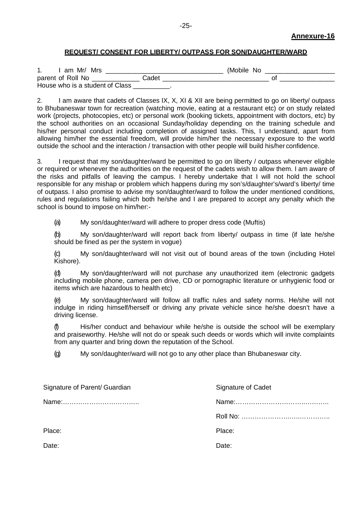#### **REQUEST/ CONSENT FOR LIBERTY/ OUTPASS FOR SON/DAUGHTER/WARD**

| am Mr/ Mrs                      |       | (Mobile No |  |  |  |  |
|---------------------------------|-------|------------|--|--|--|--|
| parent of Roll No               | Cadet |            |  |  |  |  |
| House who is a student of Class |       |            |  |  |  |  |

2. I am aware that cadets of Classes IX, X, XI & XII are being permitted to go on liberty/ outpass to Bhubaneswar town for recreation (watching movie, eating at a restaurant etc) or on study related work (projects, photocopies, etc) or personal work (booking tickets, appointment with doctors, etc) by the school authorities on an occasional Sunday/holiday depending on the training schedule and his/her personal conduct including completion of assigned tasks. This, I understand, apart from allowing him/her the essential freedom, will provide him/her the necessary exposure to the world outside the school and the interaction / transaction with other people will build his/her confidence.

3. I request that my son/daughter/ward be permitted to go on liberty / outpass whenever eligible or required or whenever the authorities on the request of the cadets wish to allow them. I am aware of the risks and pitfalls of leaving the campus. I hereby undertake that I will not hold the school responsible for any mishap or problem which happens during my son's/daughter's/ward's liberty/ time of outpass. I also promise to advise my son/daughter/ward to follow the under mentioned conditions, rules and regulations failing which both he/she and I are prepared to accept any penalty which the school is bound to impose on him/her:-

(a) My son/daughter/ward will adhere to proper dress code (Muftis)

(b) My son/daughter/ward will report back from liberty/ outpass in time (if late he/she should be fined as per the system in vogue)

(c) My son/daughter/ward will not visit out of bound areas of the town (including Hotel Kishore).

(d) My son/daughter/ward will not purchase any unauthorized item (electronic gadgets including mobile phone, camera pen drive, CD or pornographic literature or unhygienic food or items which are hazardous to health etc)

(e) My son/daughter/ward will follow all traffic rules and safety norms. He/she will not indulge in riding himself/herself or driving any private vehicle since he/she doesn't have a driving license.

(f) His/her conduct and behaviour while he/she is outside the school will be exemplary and praiseworthy. He/she will not do or speak such deeds or words which will invite complaints from any quarter and bring down the reputation of the School.

(g) My son/daughter/ward will not go to any other place than Bhubaneswar city.

| Signature of Parent/ Guardian | Signature of Cadet |
|-------------------------------|--------------------|
|                               |                    |
|                               |                    |
| Place:                        | Place:             |
| Date:                         | Date:              |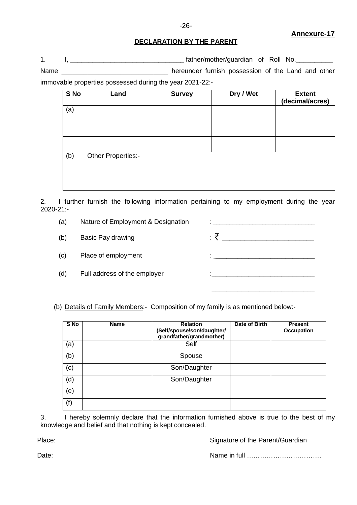#### **Annexure-17**

#### **DECLARATION BY THE PARENT**

1. I, \_\_\_\_\_\_\_\_\_\_\_\_\_\_\_\_\_\_\_\_\_\_\_\_\_\_\_\_\_\_\_ father/mother/guardian of Roll No.\_\_\_\_\_\_\_\_\_\_ Name \_\_\_\_\_\_\_\_\_\_\_\_\_\_\_\_\_\_\_\_\_\_\_\_\_\_\_\_\_\_\_\_\_\_ hereunder furnish possession of the Land and other

immovable properties possessed during the year 2021-22:-

| S No | Land               | <b>Survey</b> | Dry / Wet | <b>Extent</b><br>(decimal/acres) |
|------|--------------------|---------------|-----------|----------------------------------|
| (a)  |                    |               |           |                                  |
|      |                    |               |           |                                  |
|      |                    |               |           |                                  |
| (b)  | Other Properties:- |               |           |                                  |

2. I further furnish the following information pertaining to my employment during the year 2020-21:-

- (a) Nature of Employment & Designation  $\cdot$ :
- (b) Basic Pay drawing  $\mathcal{F}$   $\mathcal{F}$   $\mathcal{F}$   $\mathcal{F}$   $\mathcal{F}$   $\mathcal{F}$   $\mathcal{F}$   $\mathcal{F}$   $\mathcal{F}$   $\mathcal{F}$   $\mathcal{F}$   $\mathcal{F}$   $\mathcal{F}$   $\mathcal{F}$   $\mathcal{F}$   $\mathcal{F}$   $\mathcal{F}$   $\mathcal{F}$   $\mathcal{F}$   $\mathcal{F}$   $\mathcal{F}$   $\mathcal{F}$
- (c) Place of employment :
- (d) Full address of the employer in the state of  $\mathbf{r}$ :

(b) Details of Family Members:- Composition of my family is as mentioned below:-

| S No | <b>Name</b> | <b>Relation</b><br>(Self/spouse/son/daughter/<br>grandfather/grandmother) | Date of Birth | <b>Present</b><br><b>Occupation</b> |
|------|-------------|---------------------------------------------------------------------------|---------------|-------------------------------------|
| (a)  |             | Self                                                                      |               |                                     |
| (b)  |             | Spouse                                                                    |               |                                     |
| (c)  |             | Son/Daughter                                                              |               |                                     |
| (d)  |             | Son/Daughter                                                              |               |                                     |
| (e)  |             |                                                                           |               |                                     |
| (f)  |             |                                                                           |               |                                     |

3. I hereby solemnly declare that the information furnished above is true to the best of my knowledge and belief and that nothing is kept concealed.

Place: Place: Signature of the Parent/Guardian

\_\_\_\_\_\_\_\_\_\_\_\_\_\_\_\_\_\_\_\_\_\_\_\_\_\_\_\_

Date: Name in full …………………………….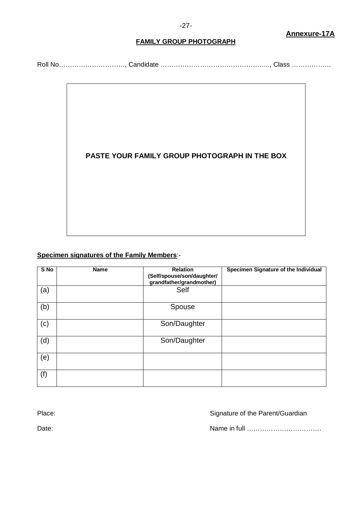#### **FAMILY GROUP PHOTOGRAPH**

Roll No…………………………, Candidate ………………………………………….., Class ………………



### **Specimen signatures of the Family Members**:-

| S No | <b>Name</b> | <b>Relation</b><br>(Self/spouse/son/daughter/<br>grandfather/grandmother) | Specimen Signature of the Individual |
|------|-------------|---------------------------------------------------------------------------|--------------------------------------|
| (a)  |             | Self                                                                      |                                      |
| (b)  |             | Spouse                                                                    |                                      |
| (c)  |             | Son/Daughter                                                              |                                      |
| (d)  |             | Son/Daughter                                                              |                                      |
| (e)  |             |                                                                           |                                      |
| (f)  |             |                                                                           |                                      |

Place: Place: Signature of the Parent/Guardian

Date: 2008. [2013] Date: 2014. [2013] Date: 2014. [2013] Name in full …………………………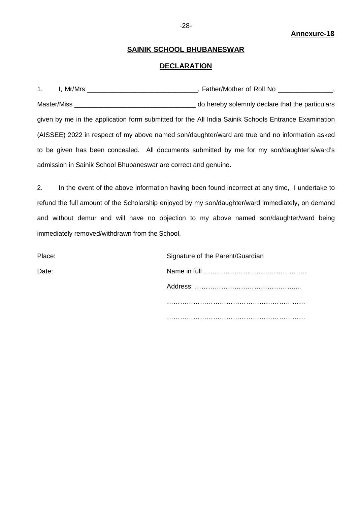#### **Annexure-18**

#### **SAINIK SCHOOL BHUBANESWAR**

### **DECLARATION**

|                                                                                                     |  | do hereby solemnly declare that the particulars |
|-----------------------------------------------------------------------------------------------------|--|-------------------------------------------------|
| given by me in the application form submitted for the All India Sainik Schools Entrance Examination |  |                                                 |
| (AISSEE) 2022 in respect of my above named son/daughter/ward are true and no information asked      |  |                                                 |
| to be given has been concealed. All documents submitted by me for my son/daughter's/ward's          |  |                                                 |
| admission in Sainik School Bhubaneswar are correct and genuine.                                     |  |                                                 |

2. In the event of the above information having been found incorrect at any time, I undertake to refund the full amount of the Scholarship enjoyed by my son/daughter/ward immediately, on demand and without demur and will have no objection to my above named son/daughter/ward being immediately removed/withdrawn from the School.

| Place: | Signature of the Parent/Guardian |
|--------|----------------------------------|
| Date:  |                                  |
|        |                                  |
|        |                                  |
|        |                                  |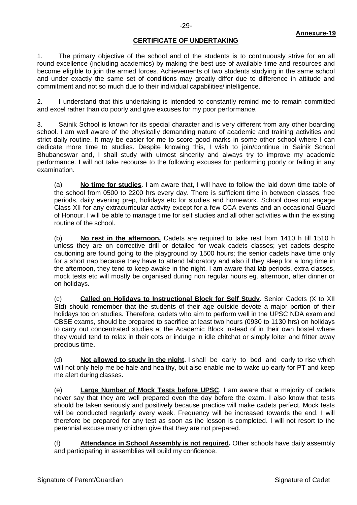#### **Annexure-19**

### **CERTIFICATE OF UNDERTAKING**

1. The primary objective of the school and of the students is to continuously strive for an all round excellence (including academics) by making the best use of available time and resources and become eligible to join the armed forces. Achievements of two students studying in the same school and under exactly the same set of conditions may greatly differ due to difference in attitude and commitment and not so much due to their individual capabilities/ intelligence.

2. I understand that this undertaking is intended to constantly remind me to remain committed and excel rather than do poorly and give excuses for my poor performance.

3. Sainik School is known for its special character and is very different from any other boarding school. I am well aware of the physically demanding nature of academic and training activities and strict daily routine. It may be easier for me to score good marks in some other school where I can dedicate more time to studies. Despite knowing this, I wish to join/continue in Sainik School Bhubaneswar and, I shall study with utmost sincerity and always try to improve my academic performance. I will not take recourse to the following excuses for performing poorly or failing in any examination.

(a) **No time for studies**. I am aware that, I will have to follow the laid down time table of the school from 0500 to 2200 hrs every day. There is sufficient time in between classes, free periods, daily evening prep, holidays etc for studies and homework. School does not engage Class XII for any extracurricular activity except for a few CCA events and an occasional Guard of Honour. I will be able to manage time for self studies and all other activities within the existing routine of the school.

(b) **No rest in the afternoon.** Cadets are required to take rest from 1410 h till 1510 h unless they are on corrective drill or detailed for weak cadets classes; yet cadets despite cautioning are found going to the playground by 1500 hours; the senior cadets have time only for a short nap because they have to attend laboratory and also if they sleep for a long time in the afternoon, they tend to keep awake in the night. I am aware that lab periods, extra classes, mock tests etc will mostly be organised during non regular hours eg. afternoon, after dinner or on holidays.

(c) **Called on Holidays to Instructional Block for Self Study**. Senior Cadets (X to XII Std) should remember that the students of their age outside devote a major portion of their holidays too on studies. Therefore, cadets who aim to perform well in the UPSC NDA exam and CBSE exams, should be prepared to sacrifice at least two hours (0930 to 1130 hrs) on holidays to carry out concentrated studies at the Academic Block instead of in their own hostel where they would tend to relax in their cots or indulge in idle chitchat or simply loiter and fritter away precious time.

(d) **Not allowed to study in the night.** I shall be early to bed and early to rise which will not only help me be hale and healthy, but also enable me to wake up early for PT and keep me alert during classes.

(e) **Large Number of Mock Tests before UPSC**. I am aware that a majority of cadets never say that they are well prepared even the day before the exam. I also know that tests should be taken seriously and positively because practice will make cadets perfect. Mock tests will be conducted regularly every week. Frequency will be increased towards the end. I will therefore be prepared for any test as soon as the lesson is completed. I will not resort to the perennial excuse many children give that they are not prepared.

(f) **Attendance in School Assembly is not required.** Other schools have daily assembly and participating in assemblies will build my confidence.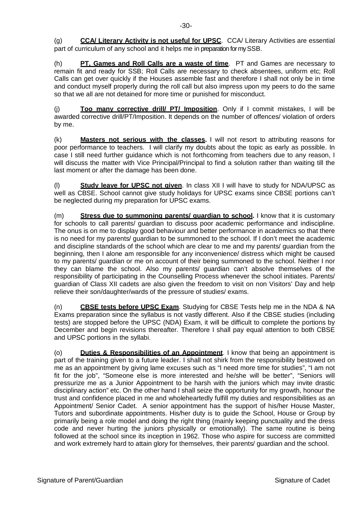(g) **CCA/ Literary Activity is not useful for UPSC**. CCA/ Literary Activities are essential part of curriculum of any school and it helps me in preparation for my SSB.

(h) **PT, Games and Roll Calls are a waste of time**. PT and Games are necessary to remain fit and ready for SSB; Roll Calls are necessary to check absentees, uniform etc; Roll Calls can get over quickly if the Houses assemble fast and therefore I shall not only be in time and conduct myself properly during the roll call but also impress upon my peers to do the same so that we all are not detained for more time or punished for misconduct.

(j) **Too many corrective drill/ PT/ Imposition**. Only if I commit mistakes, I will be awarded corrective drill/PT/Imposition. It depends on the number of offences/ violation of orders by me.

(k) **Masters not serious with the classes.** I will not resort to attributing reasons for poor performance to teachers. I will clarify my doubts about the topic as early as possible. In case I still need further guidance which is not forthcoming from teachers due to any reason, I will discuss the matter with Vice Principal/Principal to find a solution rather than waiting till the last moment or after the damage has been done.

(l) **Study leave for UPSC not given**. In class XII I will have to study for NDA/UPSC as well as CBSE. School cannot give study holidays for UPSC exams since CBSE portions can't be neglected during my preparation for UPSC exams.

(m) **Stress due to summoning parents/ guardian to school.** I know that it is customary for schools to call parents/ guardian to discuss poor academic performance and indiscipline. The onus is on me to display good behaviour and better performance in academics so that there is no need for my parents/ guardian to be summoned to the school. If I don't meet the academic and discipline standards of the school which are clear to me and my parents/ guardian from the beginning, then I alone am responsible for any inconvenience/ distress which might be caused to my parents/ guardian or me on account of their being summoned to the school. Neither I nor they can blame the school. Also my parents/ guardian can't absolve themselves of the responsibility of participating in the Counselling Process whenever the school initiates. Parents/ guardian of Class XII cadets are also given the freedom to visit on non Visitors' Day and help relieve their son/daughter/wards of the pressure of studies/ exams.

(n) **CBSE tests before UPSC Exam**. Studying for CBSE Tests help me in the NDA & NA Exams preparation since the syllabus is not vastly different. Also if the CBSE studies (including tests) are stopped before the UPSC (NDA) Exam, it will be difficult to complete the portions by December and begin revisions thereafter. Therefore I shall pay equal attention to both CBSE and UPSC portions in the syllabi.

(o) **Duties & Responsibilities of an Appointment**. I know that being an appointment is part of the training given to a future leader. I shall not shirk from the responsibility bestowed on me as an appointment by giving lame excuses such as "I need more time for studies", "I am not fit for the job", "Someone else is more interested and he/she will be better", "Seniors will pressurize me as a Junior Appointment to be harsh with the juniors which may invite drastic disciplinary action" etc. On the other hand I shall seize the opportunity for my growth, honour the trust and confidence placed in me and wholeheartedly fulfill my duties and responsibilities as an Appointment/ Senior Cadet. A senior appointment has the support of his/her House Master, Tutors and subordinate appointments. His/her duty is to guide the School, House or Group by primarily being a role model and doing the right thing (mainly keeping punctuality and the dress code and never hurting the juniors physically or emotionally). The same routine is being followed at the school since its inception in 1962. Those who aspire for success are committed and work extremely hard to attain glory for themselves, their parents/ guardian and the school.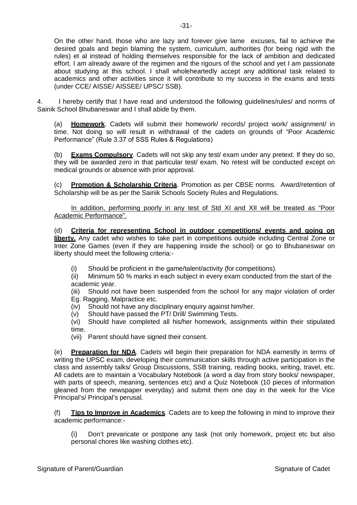On the other hand, those who are lazy and forever give lame excuses, fail to achieve the desired goals and begin blaming the system, curriculum, authorities (for being rigid with the rules) et al instead of holding themselves responsible for the lack of ambition and dedicated effort. I am already aware of the regimen and the rigours of the school and yet I am passionate about studying at this school. I shall wholeheartedly accept any additional task related to academics and other activities since it will contribute to my success in the exams and tests (under CCE/ AISSE/ AISSEE/ UPSC/ SSB).

4. I hereby certify that I have read and understood the following guidelines/rules/ and norms of Sainik School Bhubaneswar and I shall abide by them.

(a) **Homework**. Cadets will submit their homework/ records/ project work/ assignment/ in time. Not doing so will result in withdrawal of the cadets on grounds of "Poor Academic Performance" (Rule 3.37 of SSS Rules & Regulations)

(b) **Exams Compulsory**. Cadets will not skip any test/ exam under any pretext. If they do so, they will be awarded zero in that particular test/ exam. No retest will be conducted except on medical grounds or absence with prior approval.

**Promotion & Scholarship Criteria**. Promotion as per CBSE norms. Award/retention of Scholarship will be as per the Sainik Schools Society Rules and Regulations.

In addition, performing poorly in any test of Std XI and XII will be treated as "Poor Academic Performance".

(d) **Criteria for representing School in outdoor competitions/ events and going on liberty.** Any cadet who wishes to take part in competitions outside including Central Zone or Inter Zone Games (even if they are happening inside the school) or go to Bhubaneswar on liberty should meet the following criteria:-

(i) Should be proficient in the game/talent/activity (for competitions).

(ii) Minimum 50 % marks in each subject in every exam conducted from the start of the academic year.

(iii) Should not have been suspended from the school for any major violation of order Eg. Ragging, Malpractice etc.

- (iv) Should not have any disciplinary enquiry against him/her.
- (v) Should have passed the PT/ Drill/ Swimming Tests.

(vi) Should have completed all his/her homework, assignments within their stipulated time.

(vii) Parent should have signed their consent.

(e) **Preparation for NDA**. Cadets will begin their preparation for NDA earnestly in terms of writing the UPSC exam, developing their communication skills through active participation in the class and assembly talks/ Group Discussions, SSB training, reading books, writing, travel, etc. All cadets are to maintain a Vocabulary Notebook (a word a day from story books/ newspaper, with parts of speech, meaning, sentences etc) and a Quiz Notebook (10 pieces of information gleaned from the newspaper everyday) and submit them one day in the week for the Vice Principal's/ Principal's perusal.

(f) **Tips to Improve in Academics**. Cadets are to keep the following in mind to improve their academic performance:-

(i) Don't prevaricate or postpone any task (not only homework, project etc but also personal chores like washing clothes etc).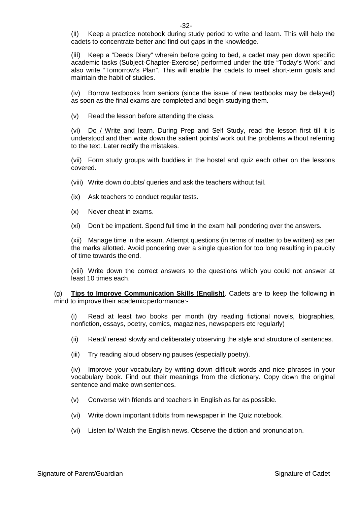(ii) Keep a practice notebook during study period to write and learn. This will help the cadets to concentrate better and find out gaps in the knowledge.

(iii) Keep a "Deeds Diary" wherein before going to bed, a cadet may pen down specific academic tasks (Subject-Chapter-Exercise) performed under the title "Today's Work" and also write "Tomorrow's Plan". This will enable the cadets to meet short-term goals and maintain the habit of studies.

(iv) Borrow textbooks from seniors (since the issue of new textbooks may be delayed) as soon as the final exams are completed and begin studying them.

(v) Read the lesson before attending the class.

(vi) Do / Write and learn. During Prep and Self Study, read the lesson first till it is understood and then write down the salient points/ work out the problems without referring to the text. Later rectify the mistakes.

(vii) Form study groups with buddies in the hostel and quiz each other on the lessons covered.

- (viii) Write down doubts/ queries and ask the teachers without fail.
- (ix) Ask teachers to conduct regular tests.
- (x) Never cheat in exams.
- (xi) Don't be impatient. Spend full time in the exam hall pondering over the answers.

(xii) Manage time in the exam. Attempt questions (in terms of matter to be written) as per the marks allotted. Avoid pondering over a single question for too long resulting in paucity of time towards the end.

(xiii) Write down the correct answers to the questions which you could not answer at least 10 times each.

(g) **Tips to Improve Communication Skills (English)**. Cadets are to keep the following in mind to improve their academic performance:-

(i) Read at least two books per month (try reading fictional novels, biographies, nonfiction, essays, poetry, comics, magazines, newspapers etc regularly)

- (ii) Read/ reread slowly and deliberately observing the style and structure of sentences.
- (iii) Try reading aloud observing pauses (especially poetry).

(iv) Improve your vocabulary by writing down difficult words and nice phrases in your vocabulary book. Find out their meanings from the dictionary. Copy down the original sentence and make own sentences.

- (v) Converse with friends and teachers in English as far as possible.
- (vi) Write down important tidbits from newspaper in the Quiz notebook.
- (vi) Listen to/ Watch the English news. Observe the diction and pronunciation.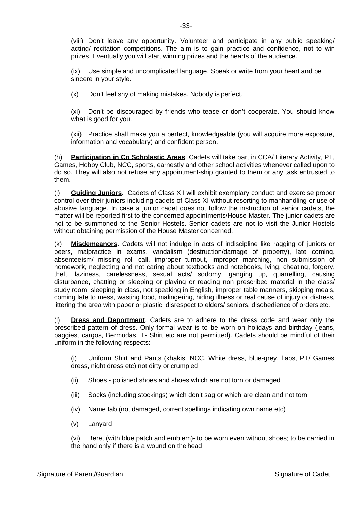(ix) Use simple and uncomplicated language. Speak or write from your heart and be sincere in your style.

(x) Don't feel shy of making mistakes. Nobody is perfect.

(xi) Don't be discouraged by friends who tease or don't cooperate. You should know what is good for you.

(xii) Practice shall make you a perfect, knowledgeable (you will acquire more exposure, information and vocabulary) and confident person.

(h) **Participation in Co Scholastic Areas**. Cadets will take part in CCA/ Literary Activity, PT, Games, Hobby Club, NCC, sports, earnestly and other school activities whenever called upon to do so. They will also not refuse any appointment-ship granted to them or any task entrusted to them.

(j) **Guiding Juniors**. Cadets of Class XII will exhibit exemplary conduct and exercise proper control over their juniors including cadets of Class XI without resorting to manhandling or use of abusive language. In case a junior cadet does not follow the instruction of senior cadets, the matter will be reported first to the concerned appointments/House Master. The junior cadets are not to be summoned to the Senior Hostels. Senior cadets are not to visit the Junior Hostels without obtaining permission of the House Master concerned.

(k) **Misdemeanors**. Cadets will not indulge in acts of indiscipline like ragging of juniors or peers, malpractice in exams, vandalism (destruction/damage of property), late coming, absenteeism/ missing roll call, improper turnout, improper marching, non submission of homework, neglecting and not caring about textbooks and notebooks, lying, cheating, forgery, theft, laziness, carelessness, sexual acts/ sodomy, ganging up, quarrelling, causing disturbance, chatting or sleeping or playing or reading non prescribed material in the class/ study room, sleeping in class, not speaking in English, improper table manners, skipping meals, coming late to mess, wasting food, malingering, hiding illness or real cause of injury or distress, littering the area with paper or plastic, disrespect to elders/ seniors, disobedience of orders etc.

(l) **Dress and Deportment**. Cadets are to adhere to the dress code and wear only the prescribed pattern of dress. Only formal wear is to be worn on holidays and birthday (jeans, baggies, cargos, Bermudas, T- Shirt etc are not permitted). Cadets should be mindful of their uniform in the following respects:-

(i) Uniform Shirt and Pants (khakis, NCC, White dress, blue-grey, flaps, PT/ Games dress, night dress etc) not dirty or crumpled

- (ii) Shoes polished shoes and shoes which are not torn or damaged
- (iii) Socks (including stockings) which don't sag or which are clean and not torn
- (iv) Name tab (not damaged, correct spellings indicating own name etc)
- (v) Lanyard

(vi) Beret (with blue patch and emblem)- to be worn even without shoes; to be carried in the hand only if there is a wound on the head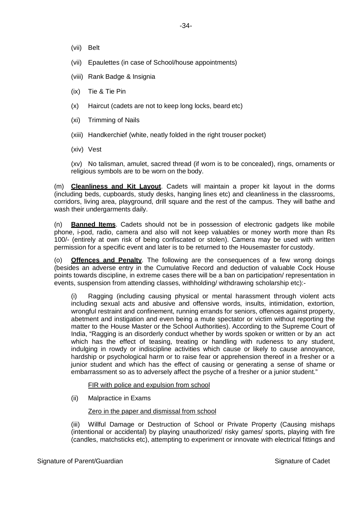- (vii) Belt
- (vii) Epaulettes (in case of School/house appointments)
- (viii) Rank Badge & Insignia
- (ix) Tie & Tie Pin
- (x) Haircut (cadets are not to keep long locks, beard etc)
- (xi) Trimming of Nails
- (xiii) Handkerchief (white, neatly folded in the right trouser pocket)
- (xiv) Vest

(xv) No talisman, amulet, sacred thread (if worn is to be concealed), rings, ornaments or religious symbols are to be worn on the body.

(m) **Cleanliness and Kit Layout**. Cadets will maintain a proper kit layout in the dorms (including beds, cupboards, study desks, hanging lines etc) and cleanliness in the classrooms, corridors, living area, playground, drill square and the rest of the campus. They will bathe and wash their undergarments daily.

(n) **Banned Items**. Cadets should not be in possession of electronic gadgets like mobile phone, i-pod, radio, camera and also will not keep valuables or money worth more than Rs 100/- (entirely at own risk of being confiscated or stolen). Camera may be used with written permission for a specific event and later is to be returned to the Housemaster for custody.

(o) **Offences and Penalty**. The following are the consequences of a few wrong doings (besides an adverse entry in the Cumulative Record and deduction of valuable Cock House points towards discipline, in extreme cases there will be a ban on participation/ representation in events, suspension from attending classes, withholding/ withdrawing scholarship etc):-

Ragging (including causing physical or mental harassment through violent acts including sexual acts and abusive and offensive words, insults, intimidation, extortion, wrongful restraint and confinement, running errands for seniors, offences against property, abetment and instigation and even being a mute spectator or victim without reporting the matter to the House Master or the School Authorities). According to the Supreme Court of India, "Ragging is an disorderly conduct whether by words spoken or written or by an act which has the effect of teasing, treating or handling with rudeness to any student, indulging in rowdy or indiscipline activities which cause or likely to cause annoyance, hardship or psychological harm or to raise fear or apprehension thereof in a fresher or a junior student and which has the effect of causing or generating a sense of shame or embarrassment so as to adversely affect the psyche of a fresher or a junior student."

FIR with police and expulsion from school

(ii) Malpractice in Exams

#### Zero in the paper and dismissal from school

(iii) Willful Damage or Destruction of School or Private Property (Causing mishaps (intentional or accidental) by playing unauthorized/ risky games/ sports, playing with fire (candles, matchsticks etc), attempting to experiment or innovate with electrical fittings and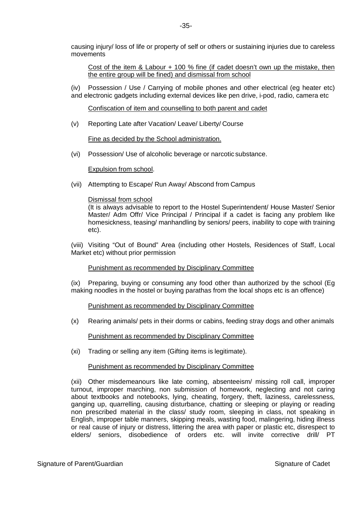causing injury/ loss of life or property of self or others or sustaining injuries due to careless movements

Cost of the item & Labour + 100 % fine (if cadet doesn't own up the mistake, then the entire group will be fined) and dismissal from school

(iv) Possession / Use / Carrying of mobile phones and other electrical (eg heater etc) and electronic gadgets including external devices like pen drive, i-pod, radio, camera etc

Confiscation of item and counselling to both parent and cadet

(v) Reporting Late after Vacation/ Leave/ Liberty/ Course

Fine as decided by the School administration.

(vi) Possession/ Use of alcoholic beverage or narcotic substance.

Expulsion from school.

(vii) Attempting to Escape/ Run Away/ Abscond from Campus

#### Dismissal from school

(It is always advisable to report to the Hostel Superintendent/ House Master/ Senior Master/ Adm Offr/ Vice Principal / Principal if a cadet is facing any problem like homesickness, teasing/ manhandling by seniors/ peers, inability to cope with training etc).

(viii) Visiting "Out of Bound" Area (including other Hostels, Residences of Staff, Local Market etc) without prior permission

#### Punishment as recommended by Disciplinary Committee

(ix) Preparing, buying or consuming any food other than authorized by the school (Eg making noodles in the hostel or buying parathas from the local shops etc is an offence)

Punishment as recommended by Disciplinary Committee

(x) Rearing animals/ pets in their dorms or cabins, feeding stray dogs and other animals

Punishment as recommended by Disciplinary Committee

(xi) Trading or selling any item (Gifting items is legitimate).

#### Punishment as recommended by Disciplinary Committee

(xii) Other misdemeanours like late coming, absenteeism/ missing roll call, improper turnout, improper marching, non submission of homework, neglecting and not caring about textbooks and notebooks, lying, cheating, forgery, theft, laziness, carelessness, ganging up, quarrelling, causing disturbance, chatting or sleeping or playing or reading non prescribed material in the class/ study room, sleeping in class, not speaking in English, improper table manners, skipping meals, wasting food, malingering, hiding illness or real cause of injury or distress, littering the area with paper or plastic etc, disrespect to elders/ seniors, disobedience of orders etc. will invite corrective drill/ PT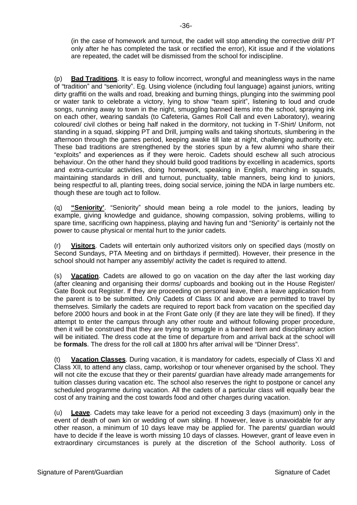(in the case of homework and turnout, the cadet will stop attending the corrective drill/ PT only after he has completed the task or rectified the error), Kit issue and if the violations are repeated, the cadet will be dismissed from the school for indiscipline.

(p) **Bad Traditions**. It is easy to follow incorrect, wrongful and meaningless ways in the name of "tradition" and "seniority". Eg. Using violence (including foul language) against juniors, writing dirty graffiti on the walls and road, breaking and burning things, plunging into the swimming pool or water tank to celebrate a victory, lying to show "team spirit", listening to loud and crude songs, running away to town in the night, smuggling banned items into the school, spraying ink on each other, wearing sandals (to Cafeteria, Games Roll Call and even Laboratory), wearing coloured/ civil clothes or being half naked in the dormitory, not tucking in T-Shirt/ Uniform, not standing in a squad, skipping PT and Drill, jumping walls and taking shortcuts, slumbering in the afternoon through the games period, keeping awake till late at night, challenging authority etc. These bad traditions are strengthened by the stories spun by a few alumni who share their "exploits" and experiences as if they were heroic. Cadets should eschew all such atrocious behaviour. On the other hand they should build good traditions by excelling in academics, sports and extra-curricular activities, doing homework, speaking in English, marching in squads, maintaining standards in drill and turnout, punctuality, table manners, being kind to juniors, being respectful to all, planting trees, doing social service, joining the NDA in large numbers etc. though these are tough act to follow.

(q) **"Seniority'**. "Seniority" should mean being a role model to the juniors, leading by example, giving knowledge and guidance, showing compassion, solving problems, willing to spare time, sacrificing own happiness, playing and having fun and "Seniority" is certainly not the power to cause physical or mental hurt to the junior cadets.

(r) **Visitors**. Cadets will entertain only authorized visitors only on specified days (mostly on Second Sundays, PTA Meeting and on birthdays if permitted). However, their presence in the school should not hamper any assembly/ activity the cadet is required to attend.

(s) **Vacation**. Cadets are allowed to go on vacation on the day after the last working day (after cleaning and organising their dorms/ cupboards and booking out in the House Register/ Gate Book out Register. If they are proceeding on personal leave, then a leave application from the parent is to be submitted. Only Cadets of Class IX and above are permitted to travel by themselves. Similarly the cadets are required to report back from vacation on the specified day before 2000 hours and book in at the Front Gate only (if they are late they will be fined). If they attempt to enter the campus through any other route and without following proper procedure, then it will be construed that they are trying to smuggle in a banned item and disciplinary action will be initiated. The dress code at the time of departure from and arrival back at the school will be **formals**. The dress for the roll call at 1800 hrs after arrival will be "Dinner Dress".

**Vacation Classes**. During vacation, it is mandatory for cadets, especially of Class XI and Class XII, to attend any class, camp, workshop or tour whenever organised by the school. They will not cite the excuse that they or their parents/ guardian have already made arrangements for tuition classes during vacation etc. The school also reserves the right to postpone or cancel any scheduled programme during vacation. All the cadets of a particular class will equally bear the cost of any training and the cost towards food and other charges during vacation.

(u) **Leave**. Cadets may take leave for a period not exceeding 3 days (maximum) only in the event of death of own kin or wedding of own sibling. If however, leave is unavoidable for any other reason, a minimum of 10 days leave may be applied for. The parents/ guardian would have to decide if the leave is worth missing 10 days of classes. However, grant of leave even in extraordinary circumstances is purely at the discretion of the School authority. Loss of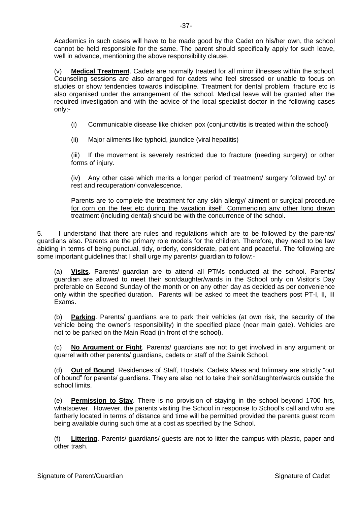Academics in such cases will have to be made good by the Cadet on his/her own, the school cannot be held responsible for the same. The parent should specifically apply for such leave, well in advance, mentioning the above responsibility clause.

(v) **Medical Treatment**. Cadets are normally treated for all minor illnesses within the school. Counseling sessions are also arranged for cadets who feel stressed or unable to focus on studies or show tendencies towards indiscipline. Treatment for dental problem, fracture etc is also organised under the arrangement of the school. Medical leave will be granted after the required investigation and with the advice of the local specialist doctor in the following cases only:-

- (i) Communicable disease like chicken pox (conjunctivitis is treated within the school)
- (ii) Major ailments like typhoid, jaundice (viral hepatitis)

(iii) If the movement is severely restricted due to fracture (needing surgery) or other forms of injury.

(iv) Any other case which merits a longer period of treatment/ surgery followed by/ or rest and recuperation/ convalescence.

Parents are to complete the treatment for any skin allergy/ ailment or surgical procedure for corn on the feet etc during the vacation itself. Commencing any other long drawn treatment (including dental) should be with the concurrence of the school.

5. I understand that there are rules and regulations which are to be followed by the parents/ guardians also. Parents are the primary role models for the children. Therefore, they need to be law abiding in terms of being punctual, tidy, orderly, considerate, patient and peaceful. The following are some important guidelines that I shall urge my parents/ guardian to follow:-

(a) **Visits**. Parents/ guardian are to attend all PTMs conducted at the school. Parents/ guardian are allowed to meet their son/daughter/wards in the School only on Visitor's Day preferable on Second Sunday of the month or on any other day as decided as per convenience only within the specified duration. Parents will be asked to meet the teachers post PT-I, II, III Exams.

(b) **Parking**. Parents/ guardians are to park their vehicles (at own risk, the security of the vehicle being the owner's responsibility) in the specified place (near main gate). Vehicles are not to be parked on the Main Road (in front of the school).

(c) **No Argument or Fight**. Parents/ guardians are not to get involved in any argument or quarrel with other parents/ guardians, cadets or staff of the Sainik School.

**Out of Bound**. Residences of Staff, Hostels, Cadets Mess and Infirmary are strictly "out of bound" for parents/ guardians. They are also not to take their son/daughter/wards outside the school limits.

(e) **Permission to Stay**. There is no provision of staying in the school beyond 1700 hrs, whatsoever. However, the parents visiting the School in response to School's call and who are fartherly located in terms of distance and time will be permitted provided the parents guest room being available during such time at a cost as specified by the School.

(f) **Littering**. Parents/ guardians/ guests are not to litter the campus with plastic, paper and other trash.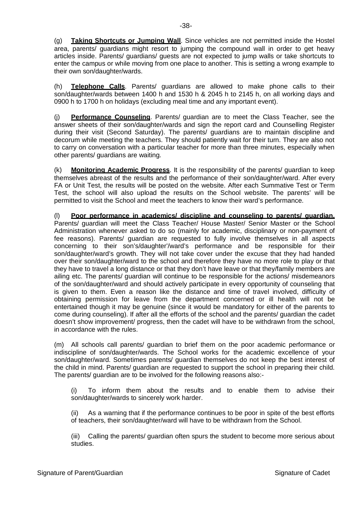(g) **Taking Shortcuts or Jumping Wall**. Since vehicles are not permitted inside the Hostel area, parents/ guardians might resort to jumping the compound wall in order to get heavy articles inside. Parents/ guardians/ guests are not expected to jump walls or take shortcuts to enter the campus or while moving from one place to another. This is setting a wrong example to their own son/daughter/wards.

(h) **Telephone Calls**. Parents/ guardians are allowed to make phone calls to their son/daughter/wards between 1400 h and 1530 h & 2045 h to 2145 h, on all working days and 0900 h to 1700 h on holidays (excluding meal time and any important event).

(j) **Performance Counseling**. Parents/ guardian are to meet the Class Teacher, see the answer sheets of their son/daughter/wards and sign the report card and Counselling Register during their visit (Second Saturday). The parents/ guardians are to maintain discipline and decorum while meeting the teachers. They should patiently wait for their turn. They are also not to carry on conversation with a particular teacher for more than three minutes, especially when other parents/ guardians are waiting.

(k) **Monitoring Academic Progress**. It is the responsibility of the parents/ guardian to keep themselves abreast of the results and the performance of their son/daughter/ward. After every FA or Unit Test, the results will be posted on the website. After each Summative Test or Term Test, the school will also upload the results on the School website. The parents' will be permitted to visit the School and meet the teachers to know their ward's performance.

(l) **Poor performance in academics/ discipline and counseling to parents/ guardian.** Parents/ guardian will meet the Class Teacher/ House Master/ Senior Master or the School Administration whenever asked to do so (mainly for academic, disciplinary or non-payment of fee reasons). Parents/ guardian are requested to fully involve themselves in all aspects concerning to their son's/daughter'/ward's performance and be responsible for their son/daughter/ward's growth. They will not take cover under the excuse that they had handed over their son/daughter/ward to the school and therefore they have no more role to play or that they have to travel a long distance or that they don't have leave or that they/family members are ailing etc. The parents/ guardian will continue to be responsible for the actions/ misdemeanors of the son/daughter/ward and should actively participate in every opportunity of counseling that is given to them. Even a reason like the distance and time of travel involved, difficulty of obtaining permission for leave from the department concerned or ill health will not be entertained though it may be genuine (since it would be mandatory for either of the parents to come during counseling). If after all the efforts of the school and the parents/ guardian the cadet doesn't show improvement/ progress, then the cadet will have to be withdrawn from the school, in accordance with the rules.

(m) All schools call parents/ guardian to brief them on the poor academic performance or indiscipline of son/daughter/wards. The School works for the academic excellence of your son/daughter/ward. Sometimes parents/ guardian themselves do not keep the best interest of the child in mind. Parents/ guardian are requested to support the school in preparing their child. The parents/ guardian are to be involved for the following reasons also:-

(i) To inform them about the results and to enable them to advise their son/daughter/wards to sincerely work harder.

(ii) As a warning that if the performance continues to be poor in spite of the best efforts of teachers, their son/daughter/ward will have to be withdrawn from the School.

(iii) Calling the parents/ guardian often spurs the student to become more serious about studies.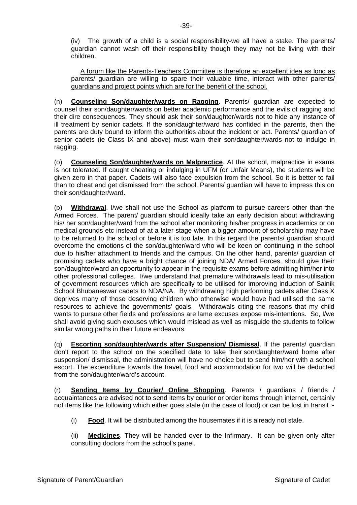(iv) The growth of a child is a social responsibility-we all have a stake. The parents/ guardian cannot wash off their responsibility though they may not be living with their children.

A forum like the Parents-Teachers Committee is therefore an excellent idea as long as parents/ guardian are willing to spare their valuable time, interact with other parents/ guardians and project points which are for the benefit of the school.

(n) **Counseling Son/daughter/wards on Ragging**. Parents/ guardian are expected to counsel their son/daughter/wards on better academic performance and the evils of ragging and their dire consequences. They should ask their son/daughter/wards not to hide any instance of ill treatment by senior cadets. If the son/daughter/ward has confided in the parents, then the parents are duty bound to inform the authorities about the incident or act. Parents/ guardian of senior cadets (ie Class IX and above) must warn their son/daughter/wards not to indulge in ragging.

(o) **Counseling Son/daughter/wards on Malpractice**. At the school, malpractice in exams is not tolerated. If caught cheating or indulging in UFM (or Unfair Means), the students will be given zero in that paper. Cadets will also face expulsion from the school. So it is better to fail than to cheat and get dismissed from the school. Parents/ guardian will have to impress this on their son/daughter/ward.

(p) **Withdrawal**. I/we shall not use the School as platform to pursue careers other than the Armed Forces. The parent/ guardian should ideally take an early decision about withdrawing his/ her son/daughter/ward from the school after monitoring his/her progress in academics or on medical grounds etc instead of at a later stage when a bigger amount of scholarship may have to be returned to the school or before it is too late. In this regard the parents/ guardian should overcome the emotions of the son/daughter/ward who will be keen on continuing in the school due to his/her attachment to friends and the campus. On the other hand, parents/ guardian of promising cadets who have a bright chance of joining NDA/ Armed Forces, should give their son/daughter/ward an opportunity to appear in the requisite exams before admitting him/her into other professional colleges. I/we understand that premature withdrawals lead to mis-utilisation of government resources which are specifically to be utilised for improving induction of Sainik School Bhubaneswar cadets to NDA/NA. By withdrawing high performing cadets after Class X deprives many of those deserving children who otherwise would have had utilised the same resources to achieve the governments' goals. Withdrawals citing the reasons that my child wants to pursue other fields and professions are lame excuses expose mis-intentions. So, I/we shall avoid giving such excuses which would mislead as well as misguide the students to follow similar wrong paths in their future endeavors.

(q) **Escorting son/daughter/wards after Suspension/ Dismissal**. If the parents/ guardian don't report to the school on the specified date to take their son/daughter/ward home after suspension/ dismissal, the administration will have no choice but to send him/her with a school escort. The expenditure towards the travel, food and accommodation for two will be deducted from the son/daughter/ward's account.

(r) **Sending Items by Courier/ Online Shopping**. Parents / guardians / friends / acquaintances are advised not to send items by courier or order items through internet, certainly not items like the following which either goes stale (in the case of food) or can be lost in transit :-

(i) **Food**. It will be distributed among the housemates if it is already not stale.

(ii) **Medicines**. They will be handed over to the Infirmary. It can be given only after consulting doctors from the school's panel.